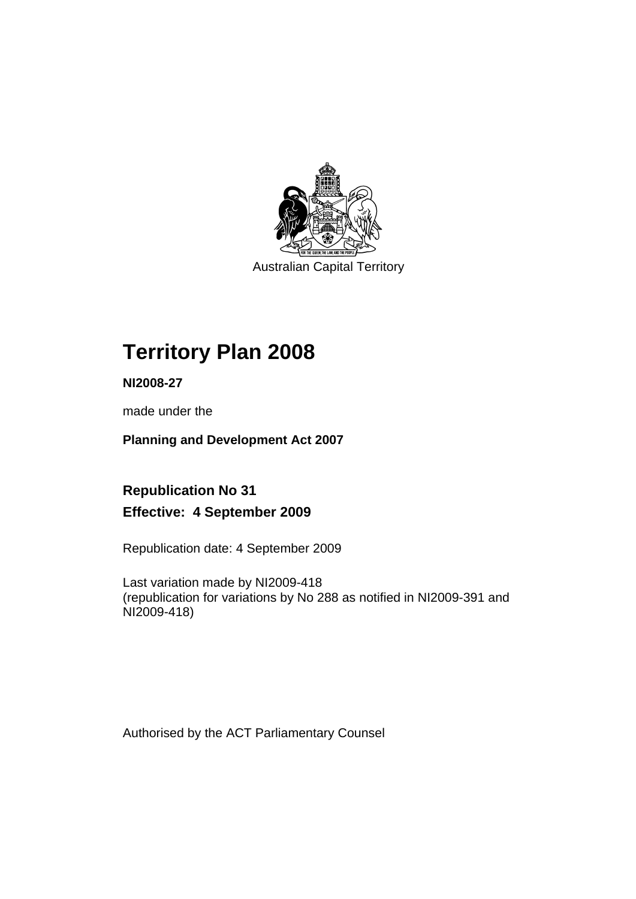

Australian Capital Territory

# **Territory Plan 2008**

**NI2008-27** 

made under the

**Planning and Development Act 2007** 

**Republication No 31 Effective: 4 September 2009** 

Republication date: 4 September 2009

Last variation made by NI2009-418 (republication for variations by No 288 as notified in NI2009-391 and NI2009-418)

Authorised by the ACT Parliamentary Counsel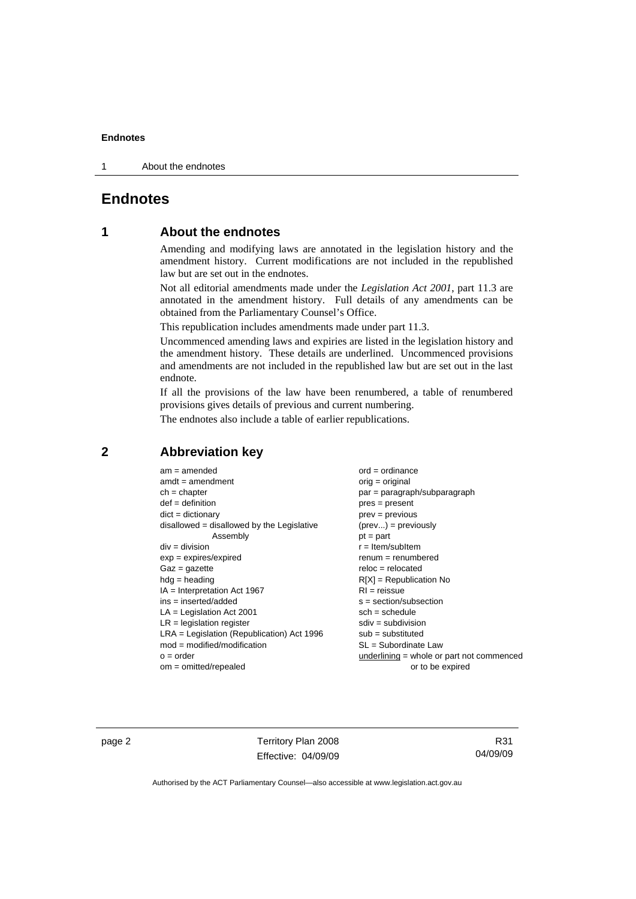1 About the endnotes

# **Endnotes**

# **1 About the endnotes**

Amending and modifying laws are annotated in the legislation history and the amendment history. Current modifications are not included in the republished law but are set out in the endnotes.

Not all editorial amendments made under the *Legislation Act 2001*, part 11.3 are annotated in the amendment history. Full details of any amendments can be obtained from the Parliamentary Counsel's Office.

This republication includes amendments made under part 11.3.

Uncommenced amending laws and expiries are listed in the legislation history and the amendment history. These details are underlined. Uncommenced provisions and amendments are not included in the republished law but are set out in the last endnote.

If all the provisions of the law have been renumbered, a table of renumbered provisions gives details of previous and current numbering.

The endnotes also include a table of earlier republications.

# **2 Abbreviation key**

| $am = amended$                               | or    |
|----------------------------------------------|-------|
| $amdt = amendment$                           | or    |
| $ch = chapter$                               | pε    |
| $def = definition$                           | pr    |
| $dict = dictionary$                          | pr    |
| $disallowed = disallowed by the Legislative$ | (p    |
| Assembly                                     | рt    |
| $div = division$                             | $r =$ |
| $exp = expires/expired$                      | re    |
| $Gaz = gazette$                              | re    |
| $hda =$ heading                              | RI    |
| $IA = Interpretation Act 1967$               | RI    |
| ins = inserted/added                         | S:    |
| $LA =$ Legislation Act 2001                  | SC    |
| $LR =$ legislation register                  | SC    |
| $LRA =$ Legislation (Republication) Act 1996 | sι    |
| $mod = modified/modification$                | SI    |
| $o = order$                                  | ur    |
| om — omittad/ranaslad                        |       |

 $rd =$  ordinance  $rig = original$ ar = paragraph/subparagraph  $res = present$  $rev =$  previous  $\text{prev...}$ ) = previously  $=$  part = Item/subItem enum = renumbered  $e$ loc = relocated  $[X]$  = Republication No  $=$  reissue = section/subsection  $ch =$ schedule div = subdivision ub = substituted  $L =$  Subordinate Law nderlining = whole or part not commenced om = omitted/repealed or to be expired

page 2 Territory Plan 2008 Effective: 04/09/09

R31 04/09/09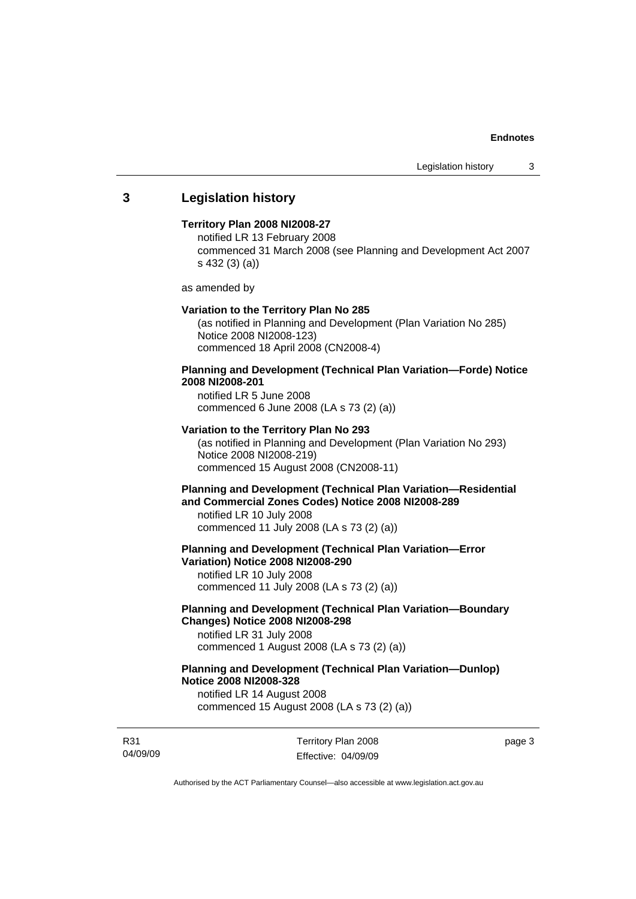# **3 Legislation history**

## **Territory Plan 2008 NI2008-27**

notified LR 13 February 2008 commenced 31 March 2008 (see Planning and Development Act 2007 s 432 (3) (a))

as amended by

#### **Variation to the Territory Plan No 285**

(as notified in Planning and Development (Plan Variation No 285) Notice 2008 NI2008-123) commenced 18 April 2008 (CN2008-4)

# **Planning and Development (Technical Plan Variation—Forde) Notice 2008 NI2008-201**

notified LR 5 June 2008 commenced 6 June 2008 (LA s 73 (2) (a))

## **Variation to the Territory Plan No 293**

(as notified in Planning and Development (Plan Variation No 293) Notice 2008 NI2008-219) commenced 15 August 2008 (CN2008-11)

# **Planning and Development (Technical Plan Variation—Residential and Commercial Zones Codes) Notice 2008 NI2008-289**

notified LR 10 July 2008 commenced 11 July 2008 (LA s 73 (2) (a))

**Planning and Development (Technical Plan Variation—Error Variation) Notice 2008 NI2008-290** 

notified LR 10 July 2008 commenced 11 July 2008 (LA s 73 (2) (a))

# **Planning and Development (Technical Plan Variation—Boundary Changes) Notice 2008 NI2008-298**

notified LR 31 July 2008 commenced 1 August 2008 (LA s 73 (2) (a))

# **Planning and Development (Technical Plan Variation—Dunlop) Notice 2008 NI2008-328**

notified LR 14 August 2008 commenced 15 August 2008 (LA s 73 (2) (a))

R31 04/09/09 Territory Plan 2008 Effective: 04/09/09 page 3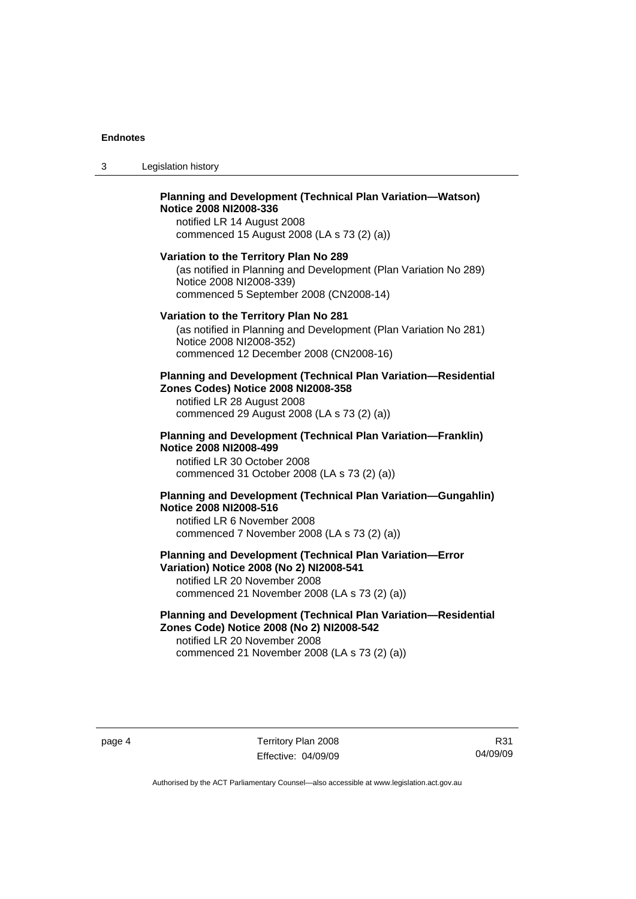3 Legislation history

## **Planning and Development (Technical Plan Variation—Watson) Notice 2008 NI2008-336**  notified LR 14 August 2008

commenced 15 August 2008 (LA s 73 (2) (a))

#### **Variation to the Territory Plan No 289**

(as notified in Planning and Development (Plan Variation No 289) Notice 2008 NI2008-339) commenced 5 September 2008 (CN2008-14)

#### **Variation to the Territory Plan No 281**

(as notified in Planning and Development (Plan Variation No 281) Notice 2008 NI2008-352) commenced 12 December 2008 (CN2008-16)

#### **Planning and Development (Technical Plan Variation—Residential Zones Codes) Notice 2008 NI2008-358**

notified LR 28 August 2008 commenced 29 August 2008 (LA s 73 (2) (a))

#### **Planning and Development (Technical Plan Variation—Franklin) Notice 2008 NI2008-499**

notified LR 30 October 2008 commenced 31 October 2008 (LA s 73 (2) (a))

# **Planning and Development (Technical Plan Variation—Gungahlin) Notice 2008 NI2008-516**

notified LR 6 November 2008 commenced 7 November 2008 (LA s 73 (2) (a))

# **Planning and Development (Technical Plan Variation—Error Variation) Notice 2008 (No 2) NI2008-541**

notified LR 20 November 2008 commenced 21 November 2008 (LA s 73 (2) (a))

# **Planning and Development (Technical Plan Variation—Residential Zones Code) Notice 2008 (No 2) NI2008-542**

notified LR 20 November 2008 commenced 21 November 2008 (LA s 73 (2) (a))

R31 04/09/09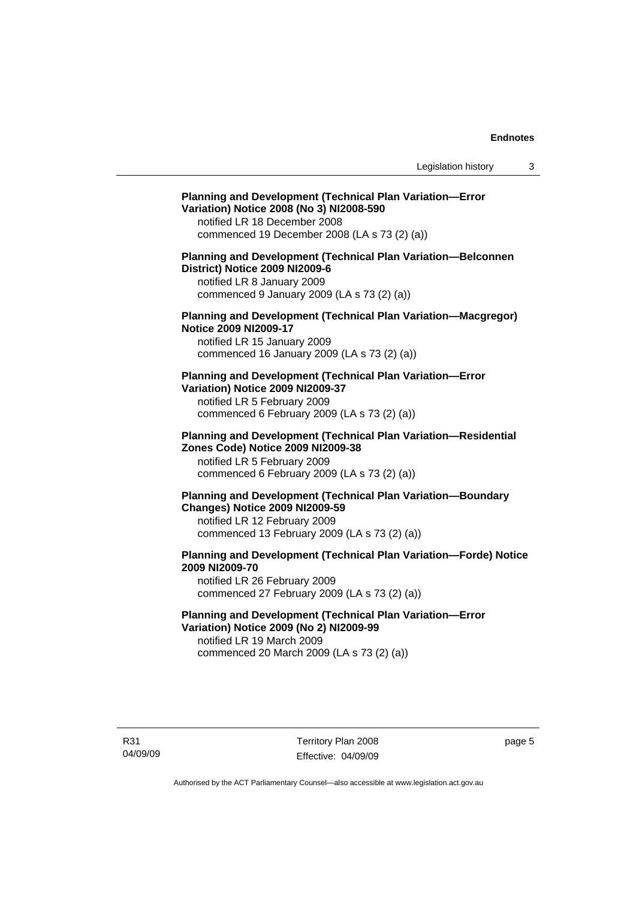# **Planning and Development (Technical Plan Variation—Error Variation) Notice 2008 (No 3) NI2008-590**

notified LR 18 December 2008 commenced 19 December 2008 (LA s 73 (2) (a))

# **Planning and Development (Technical Plan Variation—Belconnen District) Notice 2009 NI2009-6**

notified LR 8 January 2009 commenced 9 January 2009 (LA s 73 (2) (a))

## **Planning and Development (Technical Plan Variation—Macgregor) Notice 2009 NI2009-17**

notified LR 15 January 2009 commenced 16 January 2009 (LA s 73 (2) (a))

# **Planning and Development (Technical Plan Variation—Error Variation) Notice 2009 NI2009-37**

notified LR 5 February 2009 commenced 6 February 2009 (LA s 73 (2) (a))

#### **Planning and Development (Technical Plan Variation—Residential Zones Code) Notice 2009 NI2009-38**

notified LR 5 February 2009 commenced 6 February 2009 (LA s 73 (2) (a))

# **Planning and Development (Technical Plan Variation—Boundary Changes) Notice 2009 NI2009-59**

notified LR 12 February 2009 commenced 13 February 2009 (LA s 73 (2) (a))

# **Planning and Development (Technical Plan Variation—Forde) Notice 2009 NI2009-70**

notified LR 26 February 2009 commenced 27 February 2009 (LA s 73 (2) (a))

# **Planning and Development (Technical Plan Variation—Error Variation) Notice 2009 (No 2) NI2009-99**

notified LR 19 March 2009 commenced 20 March 2009 (LA s 73 (2) (a))

R31 04/09/09 Territory Plan 2008 Effective: 04/09/09 page 5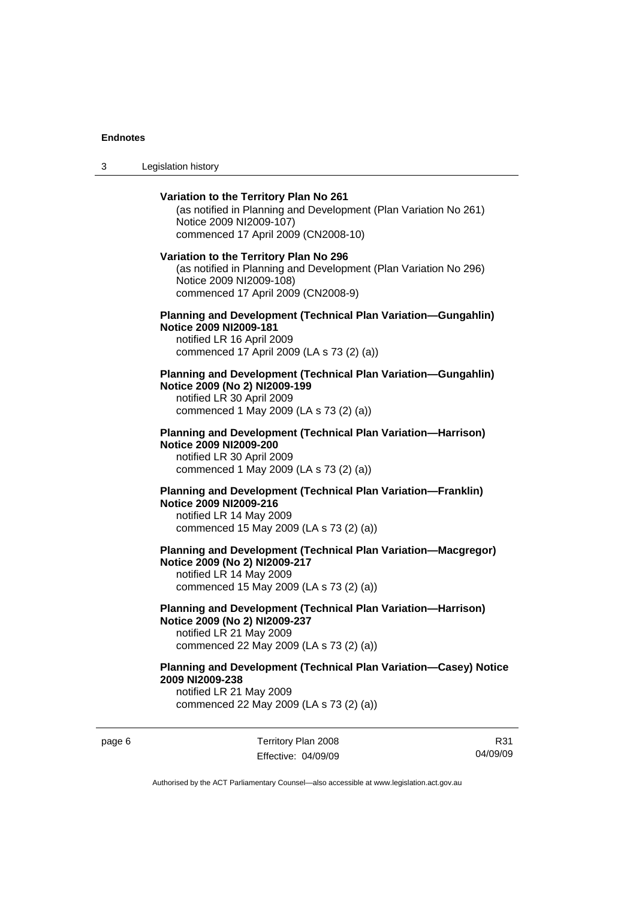3 Legislation history

# **Variation to the Territory Plan No 261**  (as notified in Planning and Development (Plan Variation No 261) Notice 2009 NI2009-107) commenced 17 April 2009 (CN2008-10) **Variation to the Territory Plan No 296**  (as notified in Planning and Development (Plan Variation No 296) Notice 2009 NI2009-108) commenced 17 April 2009 (CN2008-9) **Planning and Development (Technical Plan Variation—Gungahlin) Notice 2009 NI2009-181**  notified LR 16 April 2009 commenced 17 April 2009 (LA s 73 (2) (a)) **Planning and Development (Technical Plan Variation—Gungahlin) Notice 2009 (No 2) NI2009-199**  notified LR 30 April 2009 commenced 1 May 2009 (LA s 73 (2) (a)) **Planning and Development (Technical Plan Variation—Harrison) Notice 2009 NI2009-200**  notified LR 30 April 2009 commenced 1 May 2009 (LA s 73 (2) (a)) **Planning and Development (Technical Plan Variation—Franklin) Notice 2009 NI2009-216**  notified LR 14 May 2009 commenced 15 May 2009 (LA s 73 (2) (a)) **Planning and Development (Technical Plan Variation—Macgregor) Notice 2009 (No 2) NI2009-217**  notified LR 14 May 2009 commenced 15 May 2009 (LA s 73 (2) (a)) **Planning and Development (Technical Plan Variation—Harrison) Notice 2009 (No 2) NI2009-237**  notified LR 21 May 2009 commenced 22 May 2009 (LA s 73 (2) (a)) **Planning and Development (Technical Plan Variation—Casey) Notice 2009 NI2009-238**  notified LR 21 May 2009

commenced 22 May 2009 (LA s 73 (2) (a))

page 6 Territory Plan 2008 Effective: 04/09/09

R31 04/09/09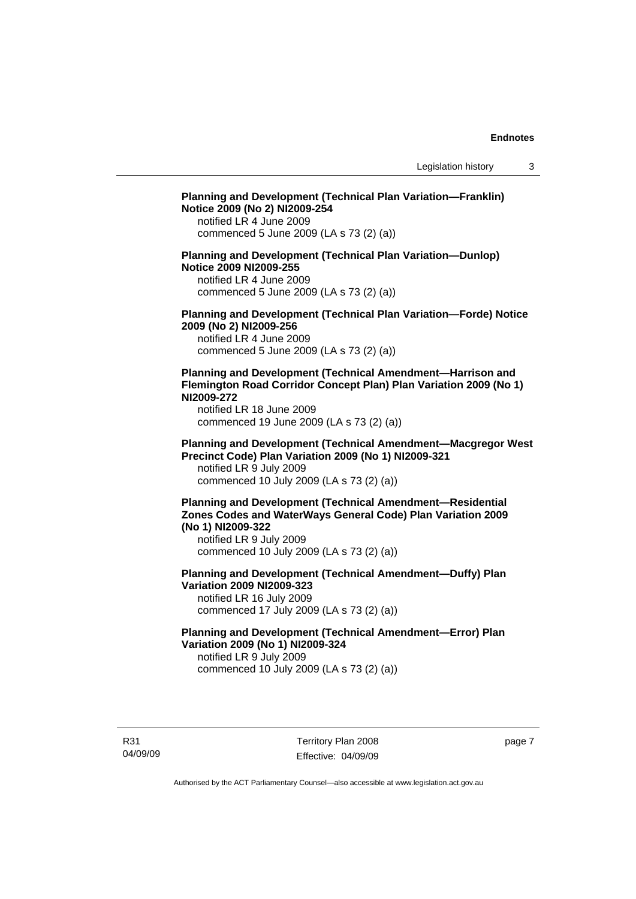# **Planning and Development (Technical Plan Variation—Franklin) Notice 2009 (No 2) NI2009-254**  notified LR 4 June 2009 commenced 5 June 2009 (LA s 73 (2) (a)) **Planning and Development (Technical Plan Variation—Dunlop) Notice 2009 NI2009-255**  notified LR 4 June 2009 commenced 5 June 2009 (LA s 73 (2) (a)) **Planning and Development (Technical Plan Variation—Forde) Notice 2009 (No 2) NI2009-256**  notified LR 4 June 2009 commenced 5 June 2009 (LA s 73 (2) (a)) **Planning and Development (Technical Amendment—Harrison and Flemington Road Corridor Concept Plan) Plan Variation 2009 (No 1) NI2009-272**  notified LR 18 June 2009 commenced 19 June 2009 (LA s 73 (2) (a)) **Planning and Development (Technical Amendment—Macgregor West Precinct Code) Plan Variation 2009 (No 1) NI2009-321**  notified LR 9 July 2009 commenced 10 July 2009 (LA s 73 (2) (a)) **Planning and Development (Technical Amendment—Residential Zones Codes and WaterWays General Code) Plan Variation 2009 (No 1) NI2009-322**  notified LR 9 July 2009 commenced 10 July 2009 (LA s 73 (2) (a)) **Planning and Development (Technical Amendment—Duffy) Plan Variation 2009 NI2009-323**  notified LR 16 July 2009 commenced 17 July 2009 (LA s 73 (2) (a)) **Planning and Development (Technical Amendment—Error) Plan Variation 2009 (No 1) NI2009-324**

notified LR 9 July 2009 commenced 10 July 2009 (LA s 73 (2) (a))

R31 04/09/09 page 7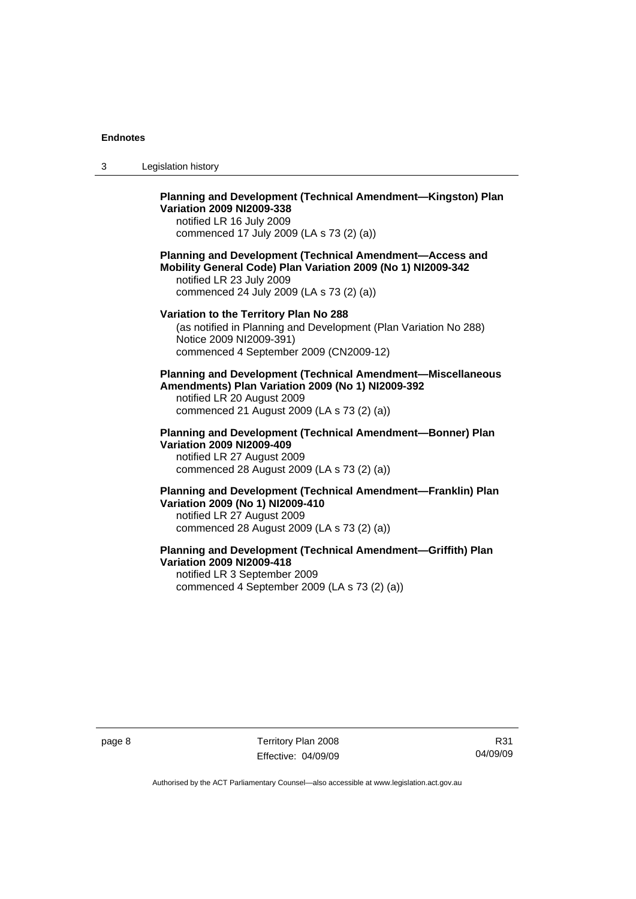3 Legislation history

# **Planning and Development (Technical Amendment—Kingston) Plan Variation 2009 NI2009-338**

notified LR 16 July 2009 commenced 17 July 2009 (LA s 73 (2) (a))

#### **Planning and Development (Technical Amendment—Access and Mobility General Code) Plan Variation 2009 (No 1) NI2009-342**  notified LR 23 July 2009 commenced 24 July 2009 (LA s 73 (2) (a))

**Variation to the Territory Plan No 288** 

# (as notified in Planning and Development (Plan Variation No 288) Notice 2009 NI2009-391) commenced 4 September 2009 (CN2009-12)

#### **Planning and Development (Technical Amendment—Miscellaneous Amendments) Plan Variation 2009 (No 1) NI2009-392**  notified LR 20 August 2009

commenced 21 August 2009 (LA s 73 (2) (a))

# **Planning and Development (Technical Amendment—Bonner) Plan Variation 2009 NI2009-409**

notified LR 27 August 2009 commenced 28 August 2009 (LA s 73 (2) (a))

## **Planning and Development (Technical Amendment—Franklin) Plan Variation 2009 (No 1) NI2009-410**  notified LR 27 August 2009 commenced 28 August 2009 (LA s 73 (2) (a))

## **Planning and Development (Technical Amendment—Griffith) Plan Variation 2009 NI2009-418**  notified LR 3 September 2009 commenced 4 September 2009 (LA s 73 (2) (a))

page 8 Territory Plan 2008 Effective: 04/09/09

R31 04/09/09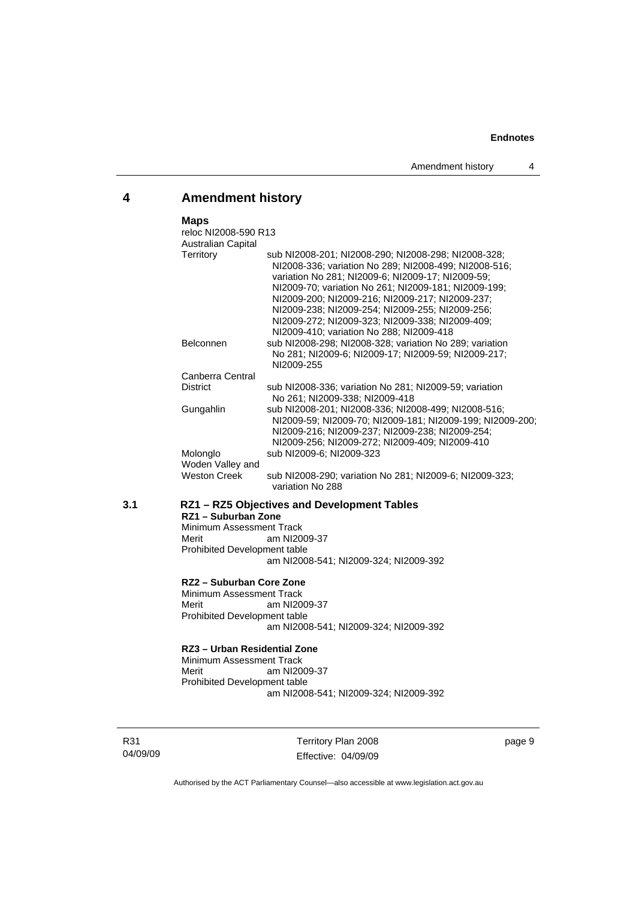# **4 Amendment history**

## **Maps**

|     | reloc NI2008-590 R13                   |                                                                                                                                                                                                                                                                                                                                                                                                                                |  |  |
|-----|----------------------------------------|--------------------------------------------------------------------------------------------------------------------------------------------------------------------------------------------------------------------------------------------------------------------------------------------------------------------------------------------------------------------------------------------------------------------------------|--|--|
|     | <b>Australian Capital</b><br>Territory | sub NI2008-201; NI2008-290; NI2008-298; NI2008-328;<br>NI2008-336; variation No 289; NI2008-499; NI2008-516;<br>variation No 281; NI2009-6; NI2009-17; NI2009-59;<br>NI2009-70; variation No 261; NI2009-181; NI2009-199;<br>NI2009-200; NI2009-216; NI2009-217; NI2009-237;<br>NI2009-238; NI2009-254; NI2009-255; NI2009-256;<br>NI2009-272; NI2009-323; NI2009-338; NI2009-409;<br>NI2009-410; variation No 288; NI2009-418 |  |  |
|     | <b>Belconnen</b>                       | sub NI2008-298; NI2008-328; variation No 289; variation<br>No 281; NI2009-6; NI2009-17; NI2009-59; NI2009-217;<br>NI2009-255                                                                                                                                                                                                                                                                                                   |  |  |
|     | Canberra Central                       |                                                                                                                                                                                                                                                                                                                                                                                                                                |  |  |
|     | <b>District</b>                        | sub NI2008-336; variation No 281; NI2009-59; variation<br>No 261; NI2009-338; NI2009-418                                                                                                                                                                                                                                                                                                                                       |  |  |
|     | Gungahlin                              | sub NI2008-201; NI2008-336; NI2008-499; NI2008-516;<br>NI2009-59; NI2009-70; NI2009-181; NI2009-199; NI2009-200;<br>NI2009-216; NI2009-237; NI2009-238; NI2009-254;<br>NI2009-256; NI2009-272; NI2009-409; NI2009-410                                                                                                                                                                                                          |  |  |
|     | Molonglo                               | sub NI2009-6; NI2009-323                                                                                                                                                                                                                                                                                                                                                                                                       |  |  |
|     | Woden Valley and                       |                                                                                                                                                                                                                                                                                                                                                                                                                                |  |  |
|     | <b>Weston Creek</b>                    | sub NI2008-290; variation No 281; NI2009-6; NI2009-323;<br>variation No 288                                                                                                                                                                                                                                                                                                                                                    |  |  |
| 3.1 |                                        | RZ1 - RZ5 Objectives and Development Tables<br>RZ1 - Suburban Zone<br>Minimum Assessment Track                                                                                                                                                                                                                                                                                                                                 |  |  |
|     | Merit                                  | am NI2009-37                                                                                                                                                                                                                                                                                                                                                                                                                   |  |  |
|     | Prohibited Development table           |                                                                                                                                                                                                                                                                                                                                                                                                                                |  |  |
|     |                                        | am NI2008-541; NI2009-324; NI2009-392                                                                                                                                                                                                                                                                                                                                                                                          |  |  |
|     | RZ2 - Suburban Core Zone               |                                                                                                                                                                                                                                                                                                                                                                                                                                |  |  |
|     | Minimum Assessment Track<br>Merit      | am NI2009-37                                                                                                                                                                                                                                                                                                                                                                                                                   |  |  |
|     | Prohibited Development table           |                                                                                                                                                                                                                                                                                                                                                                                                                                |  |  |
|     |                                        |                                                                                                                                                                                                                                                                                                                                                                                                                                |  |  |

am NI2008-541; NI2009-324; NI2009-392

# **RZ3 – Urban Residential Zone**

Minimum Assessment Track<br>Merit am NI20 am NI2009-37 Prohibited Development table am NI2008-541; NI2009-324; NI2009-392

R31 04/09/09

Territory Plan 2008 Effective: 04/09/09 page 9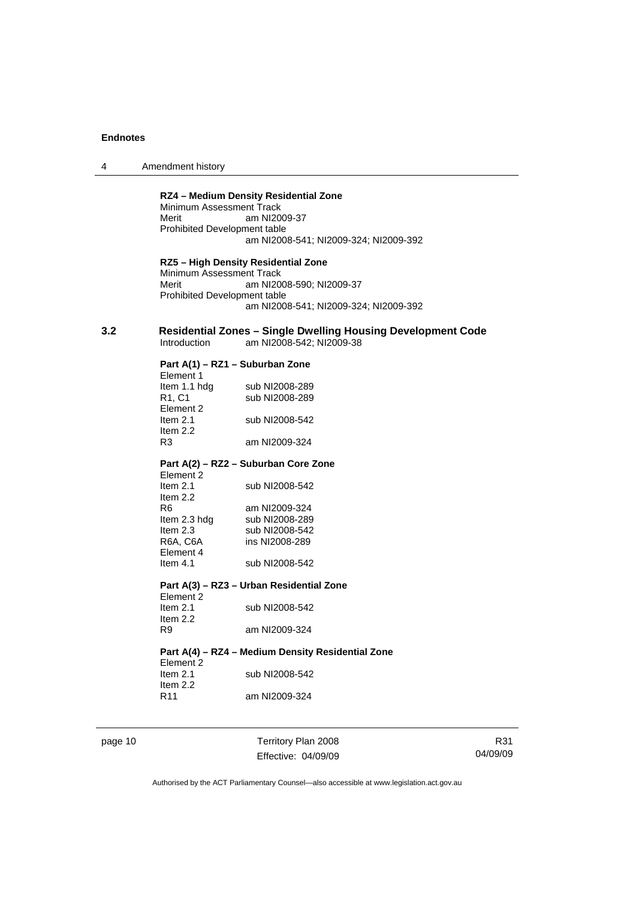| Amendment history<br>4 |  |
|------------------------|--|
|------------------------|--|

#### **RZ4 – Medium Density Residential Zone**

Minimum Assessment Track Merit am NI2009-37 Prohibited Development table am NI2008-541; NI2009-324; NI2009-392

**RZ5 – High Density Residential Zone**  Minimum Assessment Track Merit am NI2008-590; NI2009-37 Prohibited Development table am NI2008-541; NI2009-324; NI2009-392

#### **3.2 Residential Zones – Single Dwelling Housing Development Code**  am NI2008-542; NI2009-38

#### **Part A(1) – RZ1 – Suburban Zone**  Element 1

| 니어버이 내                          |                |
|---------------------------------|----------------|
| Item 1.1 hdg                    | sub NI2008-289 |
| R <sub>1</sub> , C <sub>1</sub> | sub NI2008-289 |
| Element 2                       |                |
| Item $2.1$                      | sub NI2008-542 |
| Item $2.2$                      |                |
| R <sub>3</sub>                  | am NI2009-324  |
|                                 |                |

# **Part A(2) – RZ2 – Suburban Core Zone**

| Element 2    |                |
|--------------|----------------|
| Item $2.1$   | sub NI2008-542 |
| Item $2.2$   |                |
| R6           | am NI2009-324  |
| Item 2.3 hdg | sub NI2008-289 |
| Item $2.3$   | sub NI2008-542 |
| R6A, C6A     | ins NI2008-289 |
| Element 4    |                |
| Item $4.1$   | sub NI2008-542 |

#### **Part A(3) – RZ3 – Urban Residential Zone**

| Element 2  |                |
|------------|----------------|
| Item $2.1$ | sub NI2008-542 |
| Item $2.2$ |                |
| R9         | am NI2009-324  |

#### **Part A(4) – RZ4 – Medium Density Residential Zone**

| Element 2       |                |
|-----------------|----------------|
| Item $2.1$      | sub NI2008-542 |
| Item $2.2$      |                |
| R <sub>11</sub> | am NI2009-324  |

page 10 Territory Plan 2008 Effective: 04/09/09

R31 04/09/09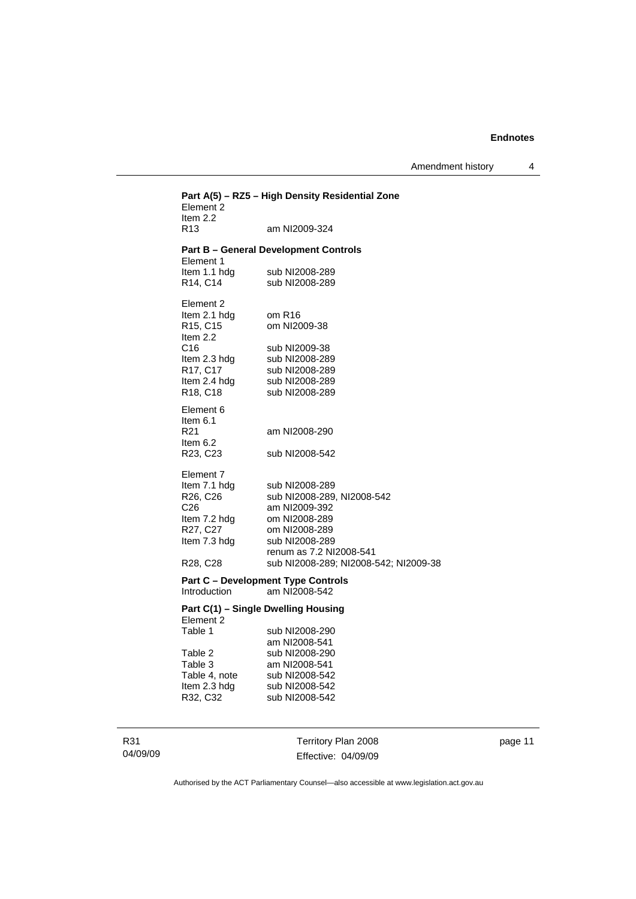Amendment history 4

| Part A(5) - RZ5 - High Density Residential Zone<br>Element 2<br>Item $2.2$                                                                |                                                                                                                                                                                       |  |  |
|-------------------------------------------------------------------------------------------------------------------------------------------|---------------------------------------------------------------------------------------------------------------------------------------------------------------------------------------|--|--|
| R <sub>13</sub>                                                                                                                           | am NI2009-324                                                                                                                                                                         |  |  |
| Element 1                                                                                                                                 | <b>Part B - General Development Controls</b>                                                                                                                                          |  |  |
| Item 1.1 hdg<br>R14, C14                                                                                                                  | sub NI2008-289<br>sub NI2008-289                                                                                                                                                      |  |  |
| Element 2<br>Item 2.1 hdg<br>R15, C15<br>Item 2.2                                                                                         | om R16<br>om NI2009-38                                                                                                                                                                |  |  |
| C16<br>Item 2.3 hdg<br>R17, C17<br>Item 2.4 hdg<br>R <sub>18</sub> , C <sub>18</sub>                                                      | sub NI2009-38<br>sub NI2008-289<br>sub NI2008-289<br>sub NI2008-289<br>sub NI2008-289                                                                                                 |  |  |
| Element 6<br>Item 6.1<br>R21<br>Item $6.2$<br>R23, C23                                                                                    | am NI2008-290<br>sub NI2008-542                                                                                                                                                       |  |  |
| Element 7<br>Item 7.1 hdg<br>R26, C26<br>C <sub>26</sub><br>Item 7.2 hdg<br>R27, C27<br>Item 7.3 hdg<br>R <sub>28</sub> , C <sub>28</sub> | sub NI2008-289<br>sub NI2008-289, NI2008-542<br>am NI2009-392<br>om NI2008-289<br>om NI2008-289<br>sub NI2008-289<br>renum as 7.2 NI2008-541<br>sub NI2008-289; NI2008-542; NI2009-38 |  |  |
| <b>Part C - Development Type Controls</b><br>am NI2008-542<br><b>Introduction</b>                                                         |                                                                                                                                                                                       |  |  |
| Part C(1) - Single Dwelling Housing<br>Element 2                                                                                          |                                                                                                                                                                                       |  |  |
| Table 1<br>Table 2<br>Table 3<br>Table 4, note<br>Item 2.3 hdg<br>R32, C32                                                                | sub NI2008-290<br>am NI2008-541<br>sub NI2008-290<br>am NI2008-541<br>sub NI2008-542<br>sub NI2008-542<br>sub NI2008-542                                                              |  |  |

R31 04/09/09

Territory Plan 2008 Effective: 04/09/09 page 11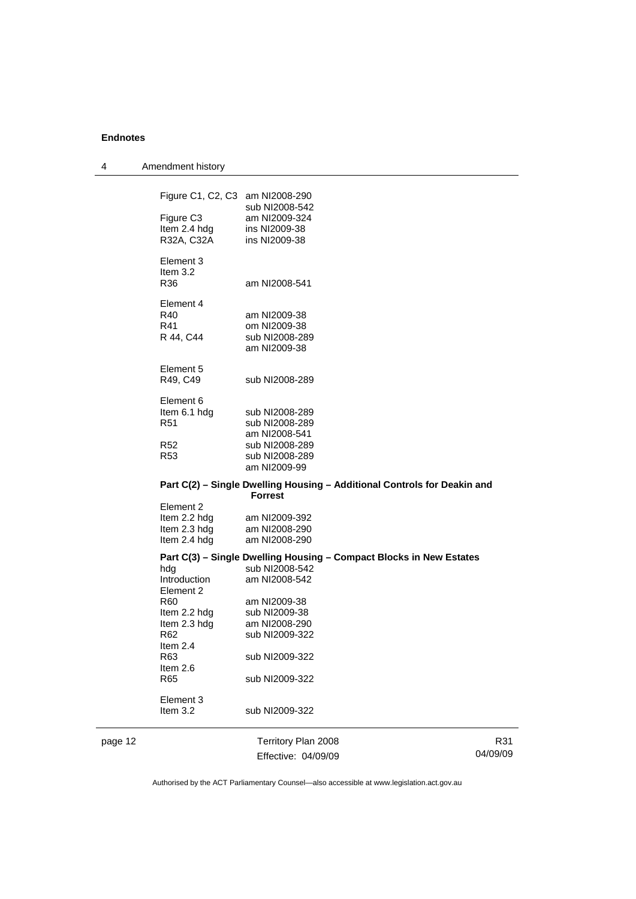| 4       | Amendment history               |                                |                                                                          |          |
|---------|---------------------------------|--------------------------------|--------------------------------------------------------------------------|----------|
|         | Figure C1, C2, C3 am NI2008-290 |                                |                                                                          |          |
|         |                                 | sub NI2008-542                 |                                                                          |          |
|         | Figure C <sub>3</sub>           | am NI2009-324                  |                                                                          |          |
|         | Item 2.4 hdg                    | ins NI2009-38                  |                                                                          |          |
|         | R32A, C32A                      | ins NI2009-38                  |                                                                          |          |
|         | Element 3<br>Item 3.2           |                                |                                                                          |          |
|         | R36                             | am NI2008-541                  |                                                                          |          |
|         | Element 4                       |                                |                                                                          |          |
|         | R40                             | am NI2009-38                   |                                                                          |          |
|         | R41                             | om NI2009-38                   |                                                                          |          |
|         | R 44, C44                       | sub NI2008-289<br>am NI2009-38 |                                                                          |          |
|         | Element 5                       |                                |                                                                          |          |
|         | R49, C49                        | sub NI2008-289                 |                                                                          |          |
|         | Element 6                       |                                |                                                                          |          |
|         | Item 6.1 hdg                    | sub NI2008-289                 |                                                                          |          |
|         | R <sub>51</sub>                 | sub NI2008-289                 |                                                                          |          |
|         |                                 | am NI2008-541                  |                                                                          |          |
|         | <b>R52</b>                      | sub NI2008-289                 |                                                                          |          |
|         | R <sub>53</sub>                 | sub NI2008-289<br>am NI2009-99 |                                                                          |          |
|         |                                 |                                | Part C(2) - Single Dwelling Housing - Additional Controls for Deakin and |          |
|         |                                 | <b>Forrest</b>                 |                                                                          |          |
|         | Element 2                       |                                |                                                                          |          |
|         | Item 2.2 hdg                    | am NI2009-392<br>am NI2008-290 |                                                                          |          |
|         | Item 2.3 hdg                    |                                |                                                                          |          |
|         | Item 2.4 hdg<br>am NI2008-290   |                                |                                                                          |          |
|         |                                 | sub NI2008-542                 | Part C(3) - Single Dwelling Housing - Compact Blocks in New Estates      |          |
|         | hdg<br>Introduction             | am NI2008-542                  |                                                                          |          |
|         | Element 2                       |                                |                                                                          |          |
|         | R60                             | am NI2009-38                   |                                                                          |          |
|         | Item 2.2 hdg                    | sub NI2009-38                  |                                                                          |          |
|         | Item 2.3 hdg                    | am NI2008-290                  |                                                                          |          |
|         | R62                             | sub NI2009-322                 |                                                                          |          |
|         | Item 2.4                        |                                |                                                                          |          |
|         | R63                             | sub NI2009-322                 |                                                                          |          |
|         | Item $2.6$                      |                                |                                                                          |          |
|         | R <sub>65</sub>                 | sub NI2009-322                 |                                                                          |          |
|         | Element 3                       |                                |                                                                          |          |
|         | Item 3.2                        | sub NI2009-322                 |                                                                          |          |
| page 12 |                                 | Territory Plan 2008            |                                                                          | R31      |
|         |                                 | Effective: 04/09/09            |                                                                          | 04/09/09 |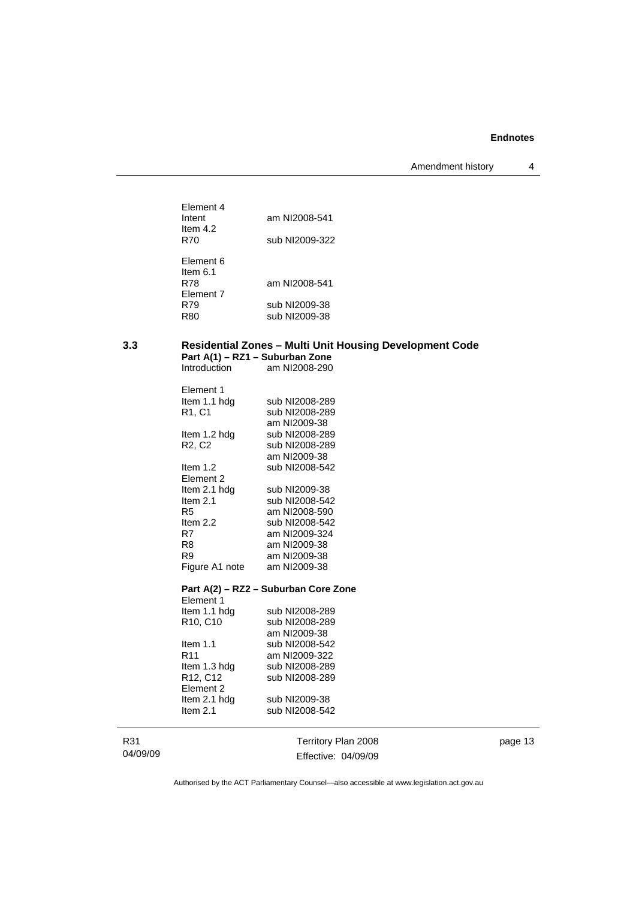Amendment history 4

| Flement 4<br>Intent<br>ltem 4.2<br>R70                                  | am NI2008-541<br>sub NI2009-322                 |
|-------------------------------------------------------------------------|-------------------------------------------------|
| Flement 6<br>Item $6.1$<br><b>R78</b><br><b>Element 7</b><br>R79<br>R80 | am NI2008-541<br>sub NI2009-38<br>sub NI2009-38 |

# **3.3 Residential Zones – Multi Unit Housing Development Code Part A(1) – RZ1 – Suburban Zone**

| Flement 1                       |                |
|---------------------------------|----------------|
| Item 1.1 hdg                    | sub NI2008-289 |
| R1. C1                          | sub NI2008-289 |
|                                 | am NI2009-38   |
| ltem 1.2 hdg                    | sub NI2008-289 |
| R <sub>2</sub> , C <sub>2</sub> | sub NI2008-289 |
|                                 | am NI2009-38   |
| Item $1.2$                      | sub NI2008-542 |
| Element 2                       |                |
| ltem 2.1 hdg                    | sub NI2009-38  |
| ltem 2.1                        | sub NI2008-542 |
| R5                              | am NI2008-590  |
| Item $2.2$                      | sub NI2008-542 |
| R7                              | am NI2009-324  |
| R8                              | am NI2009-38   |
| R9                              | am NI2009-38   |
| Figure A1 note                  | am NI2009-38   |
|                                 |                |
|                                 |                |

Introduction am NI2008-290

# **Part A(2) – RZ2 – Suburban Core Zone**

| Flement 1                         |                |
|-----------------------------------|----------------|
| Item 1.1 hdg                      | sub NI2008-289 |
| R <sub>10</sub> , C <sub>10</sub> | sub NI2008-289 |
|                                   | am NI2009-38   |
| ltem 1.1                          | sub NI2008-542 |
| R11                               | am NI2009-322  |
| Item 1.3 hdg                      | sub NI2008-289 |
| R12, C12                          | sub NI2008-289 |
| Element 2                         |                |
| Item 2.1 hdg                      | sub NI2009-38  |
| Item $2.1$                        | sub NI2008-542 |

R31 04/09/09

Territory Plan 2008 Effective: 04/09/09 page 13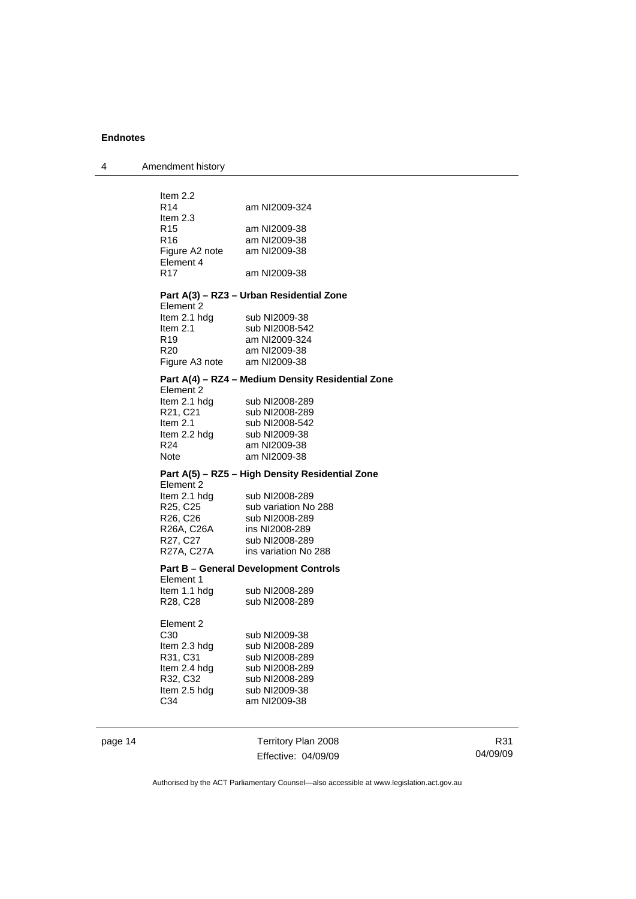4 Amendment history

|         | Item 2.2                    |                                                   |
|---------|-----------------------------|---------------------------------------------------|
|         | R <sub>14</sub>             | am NI2009-324                                     |
|         | ltem 2.3                    |                                                   |
|         | R <sub>15</sub>             | am NI2009-38                                      |
|         | R <sub>16</sub>             | am NI2009-38                                      |
|         | Figure A2 note am NI2009-38 |                                                   |
|         | Element 4                   |                                                   |
|         | R <sub>17</sub>             | am NI2009-38                                      |
|         |                             |                                                   |
|         |                             | Part A(3) - RZ3 - Urban Residential Zone          |
|         | Element 2                   |                                                   |
|         | Item 2.1 hdg                | sub NI2009-38                                     |
|         | Item $2.1$                  | sub NI2008-542                                    |
|         | R <sub>19</sub>             | am NI2009-324                                     |
|         | R <sub>20</sub>             | am NI2009-38                                      |
|         | Figure A3 note am NI2009-38 |                                                   |
|         |                             | Part A(4) - RZ4 - Medium Density Residential Zone |
|         | Element 2                   |                                                   |
|         |                             | sub NI2008-289                                    |
|         | Item 2.1 hdg<br>R21, C21    | sub NI2008-289                                    |
|         | Item 2.1                    | sub NI2008-542                                    |
|         | Item 2.2 hdg                | sub NI2009-38                                     |
|         | R24                         | am NI2009-38                                      |
|         | Note                        | am NI2009-38                                      |
|         |                             |                                                   |
|         |                             | Part A(5) – RZ5 – High Density Residential Zone   |
|         | Element 2                   |                                                   |
|         | Item 2.1 hdg                | sub NI2008-289                                    |
|         | R25, C25                    | sub variation No 288                              |
|         | R26, C26                    | sub NI2008-289                                    |
|         | R26A, C26A<br>R27, C27      | ins NI2008-289<br>sub NI2008-289                  |
|         |                             | R27A, C27A ins variation No 288                   |
|         |                             |                                                   |
|         |                             | <b>Part B – General Development Controls</b>      |
|         | Element 1                   |                                                   |
|         | ltem 1.1 hdg                | sub NI2008-289                                    |
|         | R28, C28                    | sub NI2008-289                                    |
|         |                             |                                                   |
|         | Element 2                   |                                                   |
|         | C <sub>30</sub>             | sub NI2009-38                                     |
|         | Item 2.3 hdg                | sub NI2008-289                                    |
|         | R31, C31                    | sub NI2008-289                                    |
|         | Item 2.4 hdg                | sub NI2008-289                                    |
|         | R32, C32                    | sub NI2008-289<br>sub NI2009-38                   |
|         | Item 2.5 hdg<br>C34         | am NI2009-38                                      |
|         |                             |                                                   |
|         |                             |                                                   |
|         |                             |                                                   |
| page 14 |                             | Territory Plan 2008                               |

Effective: 04/09/09

R31 04/09/09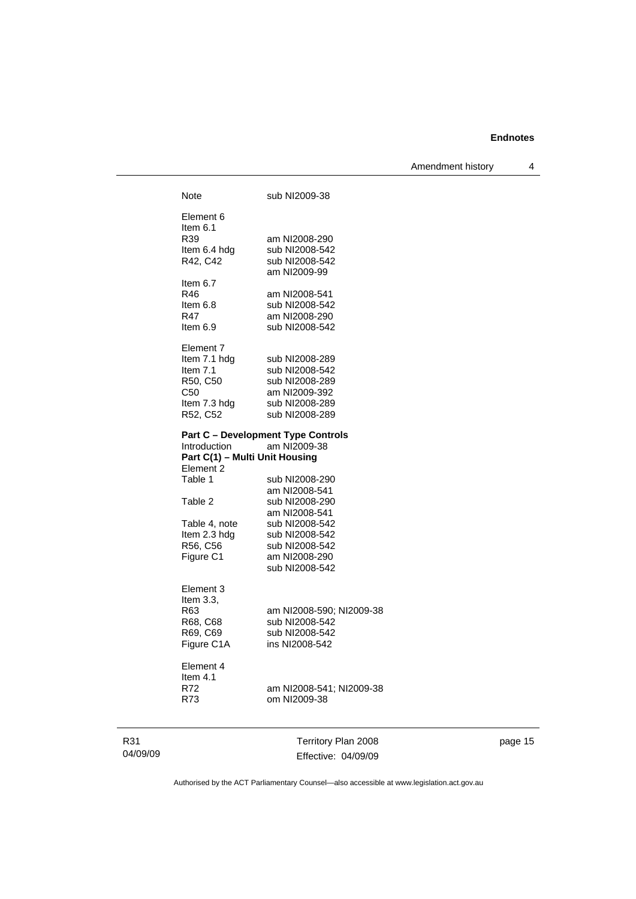Amendment history 4

| Note                           | sub NI2009-38                                             |
|--------------------------------|-----------------------------------------------------------|
|                                |                                                           |
| Element 6                      |                                                           |
| Item $6.1$                     |                                                           |
| R39                            | am NI2008-290                                             |
| Item 6.4 hdg                   | sub NI2008-542                                            |
| R42, C42                       | sub NI2008-542                                            |
|                                | am NI2009-99                                              |
| Item $6.7$                     |                                                           |
| R46                            | am NI2008-541                                             |
| Item $6.8$                     | sub NI2008-542                                            |
| R47                            | am NI2008-290                                             |
| Item $6.9$                     | sub NI2008-542                                            |
| Element 7                      |                                                           |
| Item 7.1 hdg                   | sub NI2008-289                                            |
| Item $7.1$                     | sub NI2008-542                                            |
| R50, C50                       | sub NI2008-289                                            |
| C50                            | am NI2009-392                                             |
| Item 7.3 hdg                   | sub NI2008-289                                            |
| R52, C52                       | sub NI2008-289                                            |
| <b>Introduction</b>            | <b>Part C - Development Type Controls</b><br>am NI2009-38 |
| Part C(1) - Multi Unit Housing |                                                           |
| Element 2                      |                                                           |
| Table 1                        | sub NI2008-290                                            |
|                                | am NI2008-541                                             |
| Table 2                        | sub NI2008-290                                            |
|                                | am NI2008-541                                             |
| Table 4, note                  | sub NI2008-542                                            |
| Item 2.3 hdg                   | sub NI2008-542                                            |
| R56, C56                       | sub NI2008-542                                            |
| Figure C1                      | am NI2008-290                                             |
|                                | sub NI2008-542                                            |
| Element 3                      |                                                           |
| Item $3.3$ .                   |                                                           |
| R63                            | am NI2008-590; NI2009-38                                  |
| R68, C68                       | sub NI2008-542                                            |
| R69, C69                       | sub NI2008-542                                            |
| Figure C1A                     | ins NI2008-542                                            |
| Element 4                      |                                                           |
| Item 4.1                       |                                                           |
| R72                            | am NI2008-541; NI2009-38                                  |
| R73                            | om NI2009-38                                              |
|                                |                                                           |
|                                |                                                           |
|                                | Territory Plan 2008                                       |

page 15

Authorised by the ACT Parliamentary Counsel—also accessible at www.legislation.act.gov.au

Effective: 04/09/09

R31 04/09/09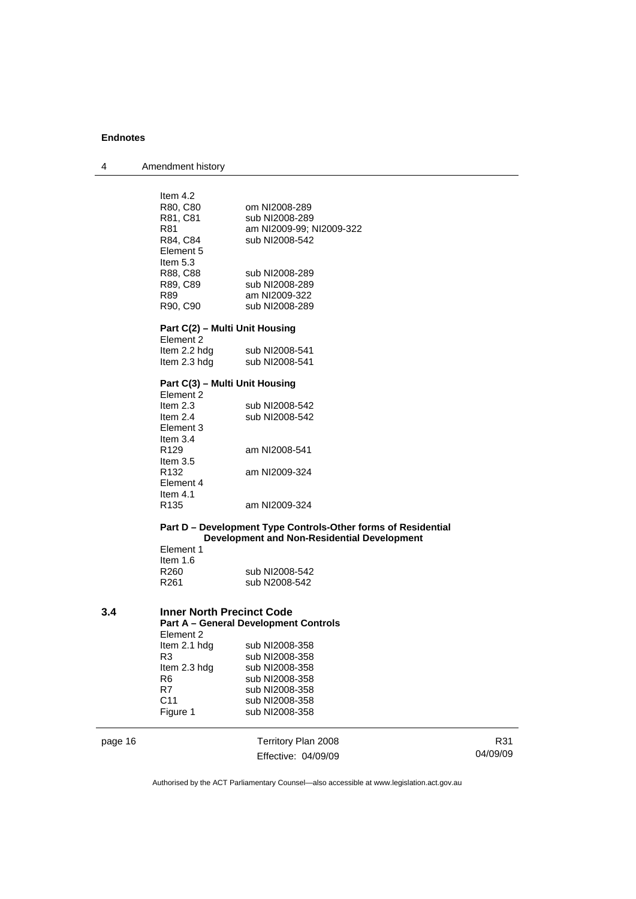| Item $4.2$<br>R80, C80<br>om NI2008-289<br>R81, C81<br>sub NI2008-289<br>R81<br>am NI2009-99; NI2009-322<br>R84, C84<br>sub NI2008-542<br>Element 5<br>Item $5.3$<br>R88, C88<br>sub NI2008-289<br>R89, C89<br>sub NI2008-289 |  |
|-------------------------------------------------------------------------------------------------------------------------------------------------------------------------------------------------------------------------------|--|
|                                                                                                                                                                                                                               |  |
|                                                                                                                                                                                                                               |  |
|                                                                                                                                                                                                                               |  |
|                                                                                                                                                                                                                               |  |
|                                                                                                                                                                                                                               |  |
|                                                                                                                                                                                                                               |  |
|                                                                                                                                                                                                                               |  |
|                                                                                                                                                                                                                               |  |
|                                                                                                                                                                                                                               |  |
| R89<br>am NI2009-322                                                                                                                                                                                                          |  |
| sub NI2008-289<br>R90, C90                                                                                                                                                                                                    |  |
|                                                                                                                                                                                                                               |  |
| Part C(2) - Multi Unit Housing                                                                                                                                                                                                |  |
| Element 2                                                                                                                                                                                                                     |  |
| Item 2.2 hdg<br>sub NI2008-541                                                                                                                                                                                                |  |
| Item 2.3 hdg<br>sub NI2008-541                                                                                                                                                                                                |  |
| Part C(3) - Multi Unit Housing                                                                                                                                                                                                |  |
| Element 2                                                                                                                                                                                                                     |  |
| Item 2.3<br>sub NI2008-542                                                                                                                                                                                                    |  |
| Item $2.4$<br>sub NI2008-542                                                                                                                                                                                                  |  |
| Element 3                                                                                                                                                                                                                     |  |
| Item $3.4$                                                                                                                                                                                                                    |  |
| R <sub>129</sub><br>am NI2008-541                                                                                                                                                                                             |  |
| Item $3.5$                                                                                                                                                                                                                    |  |
| R <sub>132</sub><br>am NI2009-324<br>Element 4                                                                                                                                                                                |  |
| Item $4.1$                                                                                                                                                                                                                    |  |
| R <sub>135</sub><br>am NI2009-324                                                                                                                                                                                             |  |
|                                                                                                                                                                                                                               |  |
| Part D - Development Type Controls-Other forms of Residential                                                                                                                                                                 |  |
| <b>Development and Non-Residential Development</b>                                                                                                                                                                            |  |
| Element 1                                                                                                                                                                                                                     |  |
| Item $1.6$                                                                                                                                                                                                                    |  |
| sub NI2008-542<br>R <sub>260</sub><br>R261<br>sub N2008-542                                                                                                                                                                   |  |
|                                                                                                                                                                                                                               |  |
| 3.4<br><b>Inner North Precinct Code</b>                                                                                                                                                                                       |  |
| <b>Part A - General Development Controls</b>                                                                                                                                                                                  |  |
| Element 2                                                                                                                                                                                                                     |  |
| Item 2.1 hdg<br>sub NI2008-358                                                                                                                                                                                                |  |

| ltem 2.1 hdg | sub NI2008-358 |
|--------------|----------------|
| R3           | sub NI2008-358 |
| ltem 2.3 hdg | sub NI2008-358 |
| R6           | sub NI2008-358 |
| R7           | sub NI2008-358 |
| C11          | sub NI2008-358 |
| Figure 1     | sub NI2008-358 |
|              |                |

page 16 Territory Plan 2008 Effective: 04/09/09

R31 04/09/09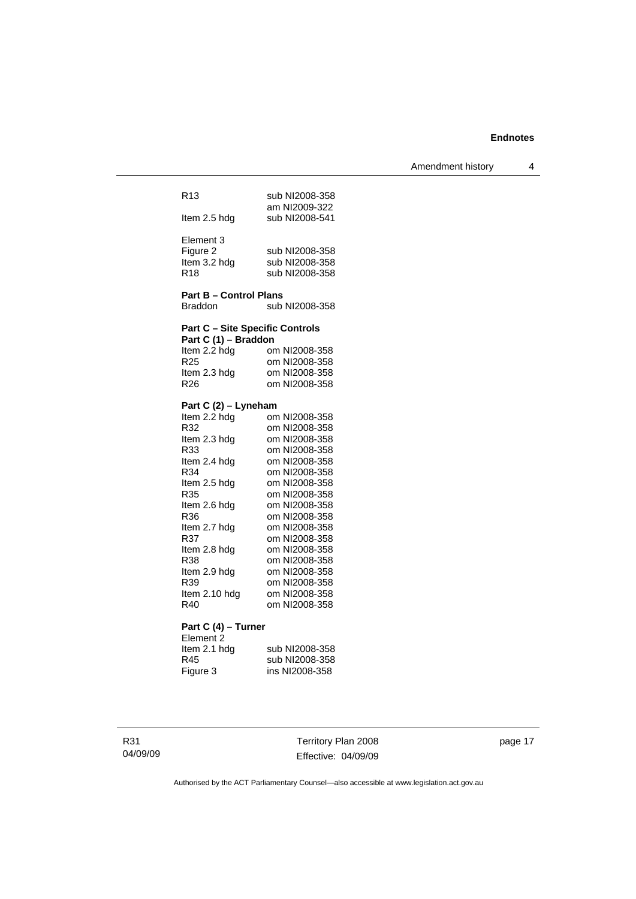Amendment history 4

| R <sub>13</sub>     |                                        |  | sub NI2008-358<br>am NI2009-322 |
|---------------------|----------------------------------------|--|---------------------------------|
| Item 2.5 hdg        |                                        |  | sub NI2008-541                  |
| Element 3           |                                        |  |                                 |
| Figure 2            |                                        |  | sub NI2008-358                  |
| Item 3.2 hdg        |                                        |  | sub NI2008-358                  |
| R <sub>18</sub>     |                                        |  | sub NI2008-358                  |
|                     | <b>Part B - Control Plans</b>          |  |                                 |
| Braddon             |                                        |  | sub NI2008-358                  |
|                     | <b>Part C - Site Specific Controls</b> |  |                                 |
|                     | Part C (1) - Braddon                   |  |                                 |
| Item 2.2 hdg        |                                        |  | om NI2008-358                   |
| R <sub>25</sub>     |                                        |  | om NI2008-358                   |
| Item 2.3 hdg        |                                        |  | om NI2008-358                   |
| R <sub>26</sub>     |                                        |  | om NI2008-358                   |
|                     | Part C (2) – Lyneham                   |  |                                 |
| Item 2.2 hdg        |                                        |  | om NI2008-358                   |
| R32                 |                                        |  | om NI2008-358                   |
| Item 2.3 hdg        |                                        |  | om NI2008-358                   |
| R33                 |                                        |  | om NI2008-358                   |
| Item 2.4 hdg        |                                        |  | om NI2008-358                   |
| R34                 |                                        |  | om NI2008-358                   |
| Item 2.5 hdg        |                                        |  | om NI2008-358                   |
| R35                 |                                        |  | om NI2008-358<br>om NI2008-358  |
| Item 2.6 hdg<br>R36 |                                        |  | om NI2008-358                   |
| Item 2.7 hdg        |                                        |  | om NI2008-358                   |
| R37                 |                                        |  | om NI2008-358                   |
| Item 2.8 hdg        |                                        |  | om NI2008-358                   |
| R38                 |                                        |  | om NI2008-358                   |
| Item 2.9 hdg        |                                        |  | om NI2008-358                   |
| R39                 |                                        |  | om NI2008-358                   |
| ltem 2.10 hdg       |                                        |  | om NI2008-358                   |
| R40                 |                                        |  | om NI2008-358                   |
|                     |                                        |  |                                 |

#### **Part C (4) – Turner**

Element 2 Item 2.1 hdg sub NI2008-358<br>
R45 sub NI2008-358<br>
Figure 3 ins NI2008-358 R45 sub NI2008-358 Figure 3 ins NI2008-358

Territory Plan 2008 Effective: 04/09/09 page 17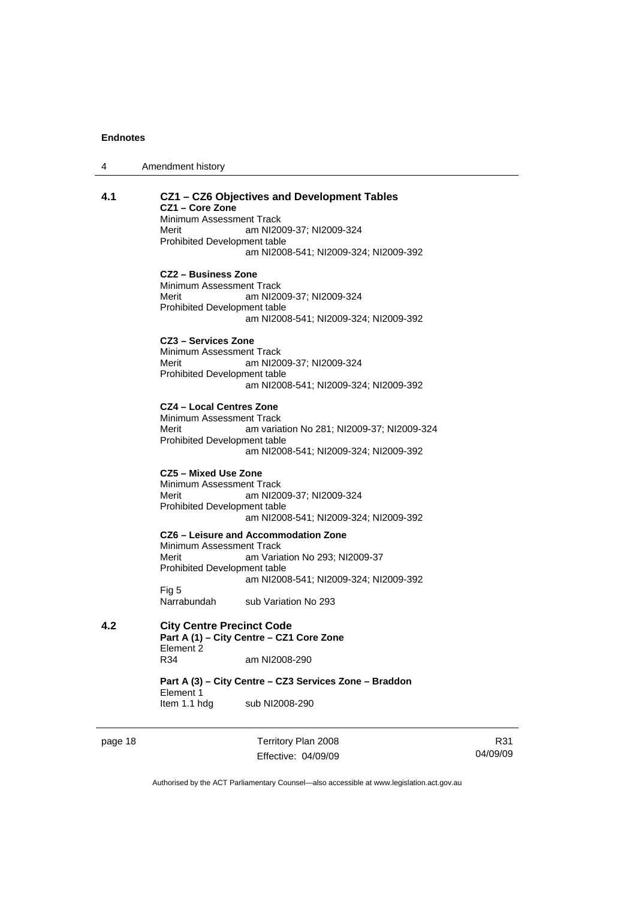| 4 | Amendment history |
|---|-------------------|
|---|-------------------|

#### **4.1 CZ1 – CZ6 Objectives and Development Tables CZ1 – Core Zone**

Minimum Assessment Track

Merit am NI2009-37; NI2009-324 Prohibited Development table am NI2008-541; NI2009-324; NI2009-392

#### **CZ2 – Business Zone**

Minimum Assessment Track<br>Merit am NI20 am NI2009-37; NI2009-324 Prohibited Development table am NI2008-541; NI2009-324; NI2009-392

#### **CZ3 – Services Zone**

Minimum Assessment Track Merit am NI2009-37; NI2009-324 Prohibited Development table am NI2008-541; NI2009-324; NI2009-392

#### **CZ4 – Local Centres Zone**

Minimum Assessment Track Merit am variation No 281; NI2009-37; NI2009-324 Prohibited Development table am NI2008-541; NI2009-324; NI2009-392

#### **CZ5 – Mixed Use Zone**

Minimum Assessment Track<br>Merit am NI20 am NI2009-37; NI2009-324 Prohibited Development table am NI2008-541; NI2009-324; NI2009-392

**CZ6 – Leisure and Accommodation Zone** Minimum Assessment Track Merit **Am Variation No 293**; NI2009-37 Prohibited Development table am NI2008-541; NI2009-324; NI2009-392 Fig 5<br>Narrabundah

sub Variation No 293

**4.2 City Centre Precinct Code Part A (1) – City Centre – CZ1 Core Zone**  Element 2<br>R34 am NI2008-290

> **Part A (3) – City Centre – CZ3 Services Zone – Braddon**  Element 1 Item 1.1 hdg sub NI2008-290

page 18 Territory Plan 2008 Effective: 04/09/09

R31 04/09/09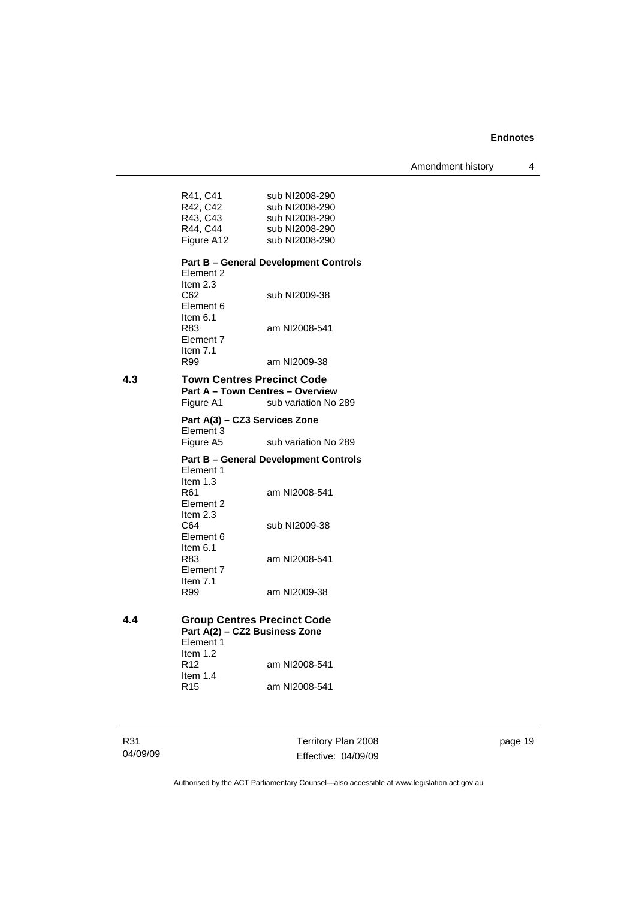Amendment history 4

| R41, C41   | sub NI2008-290 |
|------------|----------------|
| R42, C42   | sub NI2008-290 |
| R43, C43   | sub NI2008-290 |
| R44, C44   | sub NI2008-290 |
| Figure A12 | sub NI2008-290 |

# **Part B – General Development Controls**

Element 2 Item 2.3<br>C62 sub NI2009-38 Element 6 Item 6.1<br>R83 am NI2008-541 Element 7 Item 7.1<br>R99 am NI2009-38

# **4.3 Town Centres Precinct Code**

**Part A – Town Centres – Overview Figure A1** sub variation No sub variation No 289

**Part A(3) – CZ3 Services Zone**  Element 3<br>Figure A5 sub variation No 289

# **Part B – General Development Controls**  Element 1 Item 1.3<br>R61 am NI2008-541 Element 2 Item 2.3<br>C64

sub NI2009-38 Element 6 Item  $6.1$ <br>R $8.3$ am NI2008-541 Element 7 Item  $7.1$ <br>R99 am NI2009-38

**4.4 Group Centres Precinct Code Part A(2) – CZ2 Business Zone**  Element 1 Item 1.2<br>R12 am NI2008-541 Item  $1.4$ <br>R<sub>15</sub> am NI2008-541

R31 04/09/09 Territory Plan 2008 Effective: 04/09/09 page 19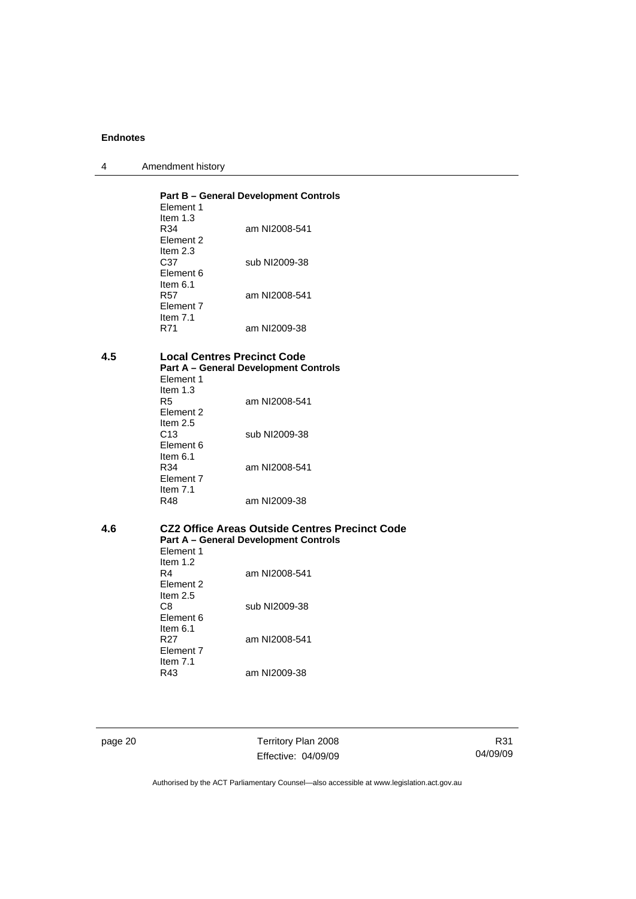| 4 | Amendment history |
|---|-------------------|
|---|-------------------|

|                   | Element 1                                               | <b>Part B - General Development Controls</b>                                                   |  |
|-------------------|---------------------------------------------------------|------------------------------------------------------------------------------------------------|--|
|                   | Item $1.3$<br>R34<br>Element 2                          | am NI2008-541                                                                                  |  |
|                   | Item $2.3$<br>C37<br>Element 6                          | sub NI2009-38                                                                                  |  |
|                   | Item $6.1$<br><b>R57</b><br>Element 7                   | am NI2008-541                                                                                  |  |
| Item $7.1$<br>R71 |                                                         | am NI2009-38                                                                                   |  |
| 4.5               | Element 1                                               | <b>Local Centres Precinct Code</b><br><b>Part A - General Development Controls</b>             |  |
|                   | Item $1.3$<br>R <sub>5</sub><br>Element 2<br>Item $2.5$ | am NI2008-541                                                                                  |  |
|                   | C <sub>13</sub><br>Element 6                            | sub NI2009-38                                                                                  |  |
|                   | Item $6.1$<br>R34<br>Element 7                          | am NI2008-541                                                                                  |  |
|                   | Item $7.1$<br><b>R48</b>                                | am NI2009-38                                                                                   |  |
| 4.6               |                                                         | CZ2 Office Areas Outside Centres Precinct Code<br><b>Part A - General Development Controls</b> |  |
|                   | Element 1<br>Item $1.2$<br>R4<br>Element 2              | am NI2008-541                                                                                  |  |
|                   | Item $2.5$<br>CR.                                       | erih N12000-38                                                                                 |  |

| Item 2.5  |               |
|-----------|---------------|
| C8        | sub NI2009-38 |
| Element 6 |               |
| ltem 6.1  |               |
| R27       | am NI2008-541 |
| Element 7 |               |
| ltem 7.1  |               |
| R43       | am NI2009-38  |
|           |               |

page 20 Territory Plan 2008 Effective: 04/09/09

R31 04/09/09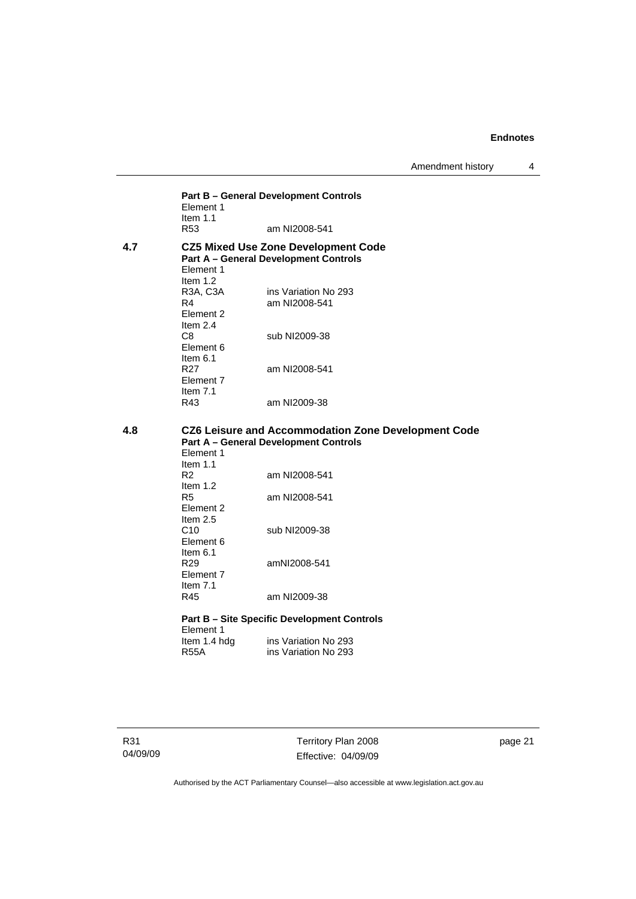Amendment history 4

**Part B – General Development Controls**  Element 1 Item 1.1<br>R53 am NI2008-541 **4.7 CZ5 Mixed Use Zone Development Code Part A – General Development Controls**  Element 1 Item 1.2<br>R3A, C3A R3A, C3A ins Variation No 293<br>R4 am NI2008-541 am NI2008-541 Element 2 Item 2.4 sub NI2009-38 Element 6 Item  $6.1$ <br>R27 am NI2008-541 Element 7 Item  $7.1$ <br>R43 am NI2009-38

#### **4.8 CZ6 Leisure and Accommodation Zone Development Code Part A – General Development Controls**  Element 1

| Item $1.1$       |                                                    |
|------------------|----------------------------------------------------|
| R2               | am NI2008-541                                      |
| ltem 1.2         |                                                    |
| R5               | am NI2008-541                                      |
| Element 2        |                                                    |
| Item $2.5$       |                                                    |
| C10              | sub NI2009-38                                      |
| Element 6        |                                                    |
| ltem 6.1         |                                                    |
| R29              | amNI2008-541                                       |
| <b>Element 7</b> |                                                    |
| ltem 7.1         |                                                    |
| R45              | am NI2009-38                                       |
|                  |                                                    |
|                  | <b>Part B – Site Specific Development Controls</b> |
| Element 1        |                                                    |

Item 1.4 hdg ins Variation No 293<br>R55A ins Variation No 293 ins Variation No 293

R31 04/09/09 Territory Plan 2008 Effective: 04/09/09 page 21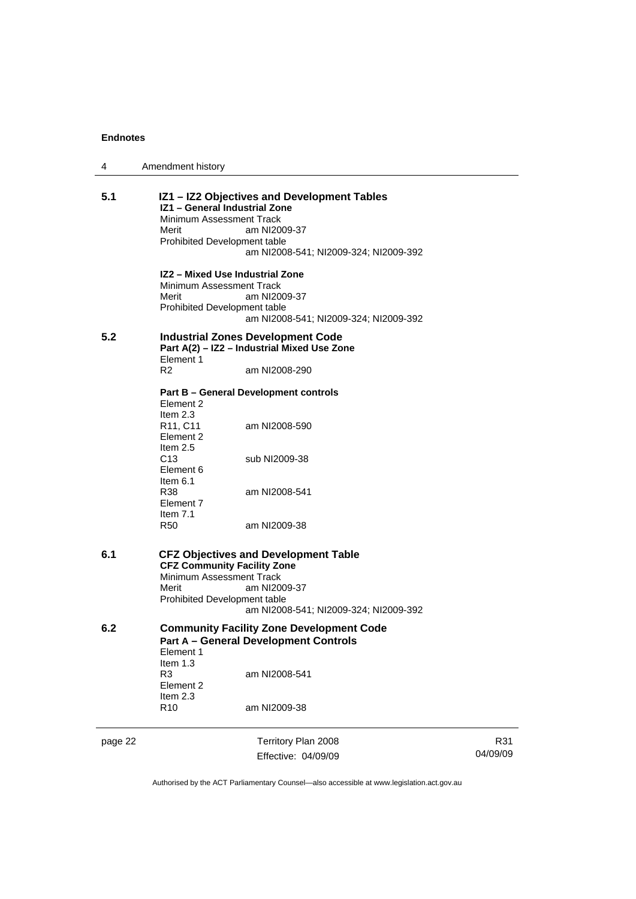| 4       | Amendment history                                                                                                                                                                                               |
|---------|-----------------------------------------------------------------------------------------------------------------------------------------------------------------------------------------------------------------|
| 5.1     | IZ1 - IZ2 Objectives and Development Tables<br>IZ1 - General Industrial Zone<br>Minimum Assessment Track<br>Merit<br>am NI2009-37<br>Prohibited Development table<br>am NI2008-541; NI2009-324; NI2009-392      |
|         | IZ2 - Mixed Use Industrial Zone<br>Minimum Assessment Track<br>Merit<br>am NI2009-37<br>Prohibited Development table<br>am NI2008-541; NI2009-324; NI2009-392                                                   |
| 5.2     | <b>Industrial Zones Development Code</b><br>Part A(2) - IZ2 - Industrial Mixed Use Zone<br>Element 1<br>R <sub>2</sub><br>am NI2008-290                                                                         |
|         | <b>Part B - General Development controls</b><br>Element 2<br>Item $2.3$<br>R <sub>11</sub> , C <sub>11</sub><br>am NI2008-590                                                                                   |
|         | Element 2<br>Item 2.5<br>C <sub>13</sub><br>sub NI2009-38<br>Element 6<br>Item $6.1$                                                                                                                            |
|         | R38<br>am NI2008-541<br>Element 7<br>Item $7.1$<br><b>R50</b><br>am NI2009-38                                                                                                                                   |
| 6.1     | <b>CFZ Objectives and Development Table</b><br><b>CFZ Community Facility Zone</b><br>Minimum Assessment Track<br>Merit<br>am NI2009-37<br>Prohibited Development table<br>am NI2008-541; NI2009-324; NI2009-392 |
| 6.2     | <b>Community Facility Zone Development Code</b><br><b>Part A - General Development Controls</b><br>Element 1                                                                                                    |
|         | Item $1.3$<br>R3<br>am NI2008-541<br>Element 2<br>Item 2.3<br>R <sub>10</sub><br>am NI2009-38                                                                                                                   |
| page 22 | Territory Plan 2008<br>Effective: 04/09/09                                                                                                                                                                      |

R31 04/09/09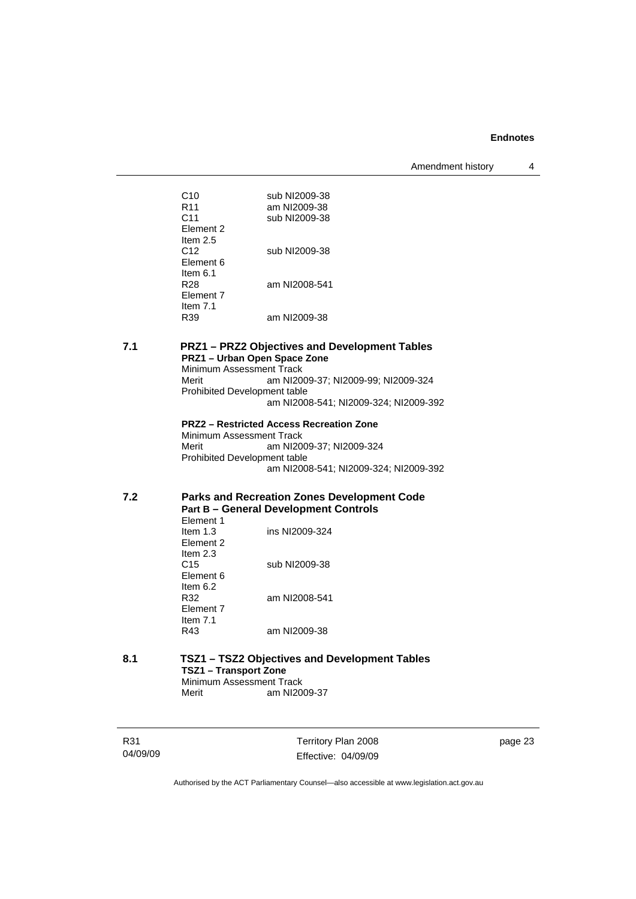Amendment history 4

| sub NI2009-38<br>am NI2009-38<br>sub NI2009-38 |
|------------------------------------------------|
|                                                |
| sub NI2009-38                                  |
|                                                |
| am NI2008-541                                  |
| am NI2009-38                                   |
|                                                |

#### **7.1 PRZ1 – PRZ2 Objectives and Development Tables PRZ1 – Urban Open Space Zone**  Minimum Assessment Track

Merit am NI2009-37; NI2009-99; NI2009-324 Prohibited Development table am NI2008-541; NI2009-324; NI2009-392

**PRZ2 – Restricted Access Recreation Zone**  Minimum Assessment Track Merit am NI2009-37; NI2009-324 Prohibited Development table am NI2008-541; NI2009-324; NI2009-392

# **7.2 Parks and Recreation Zones Development Code Part B – General Development Controls**

| <b>Element 1</b>           |  |
|----------------------------|--|
| ins NI2009-324<br>ltem 1.3 |  |
| Flement 2                  |  |
| ltem 2.3                   |  |
| sub NI2009-38<br>C15       |  |
| Element 6                  |  |
| ltem 6.2                   |  |
| am NI2008-541<br>R32       |  |
| Flement 7                  |  |
| ltem 7.1                   |  |
| am NI2009-38<br>R43        |  |

#### **8.1 TSZ1 – TSZ2 Objectives and Development Tables TSZ1 – Transport Zone Minimum Assessment Track**<br>Merit am NI20 am NI2009-37

R31 04/09/09 Territory Plan 2008 Effective: 04/09/09 page 23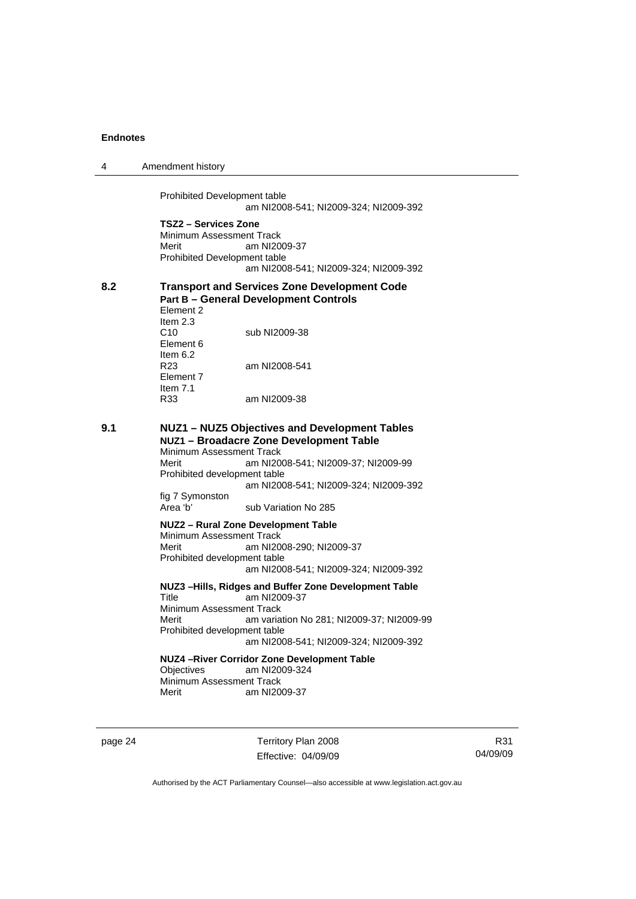| 4   | Amendment history                                                                                                                                                                                                                                                |
|-----|------------------------------------------------------------------------------------------------------------------------------------------------------------------------------------------------------------------------------------------------------------------|
|     | <b>Prohibited Development table</b><br>am NI2008-541; NI2009-324; NI2009-392                                                                                                                                                                                     |
|     | TSZ2 – Services Zone<br>Minimum Assessment Track<br>am NI2009-37<br>Merit<br>Prohibited Development table<br>am NI2008-541; NI2009-324; NI2009-392                                                                                                               |
| 8.2 | <b>Transport and Services Zone Development Code</b><br><b>Part B - General Development Controls</b><br>Element 2<br>Item 2.3                                                                                                                                     |
|     | C <sub>10</sub><br>sub NI2009-38<br>Element 6<br>Item $6.2$                                                                                                                                                                                                      |
|     | R <sub>23</sub><br>am NI2008-541<br>Element 7<br>Item $7.1$                                                                                                                                                                                                      |
|     | R33<br>am NI2009-38                                                                                                                                                                                                                                              |
| 9.1 | NUZ1 - NUZ5 Objectives and Development Tables<br>NUZ1 - Broadacre Zone Development Table<br>Minimum Assessment Track<br>Merit<br>am NI2008-541; NI2009-37; NI2009-99<br>Prohibited development table<br>am NI2008-541; NI2009-324; NI2009-392<br>fig 7 Symonston |
|     | Area 'b'<br>sub Variation No 285                                                                                                                                                                                                                                 |
|     | NUZ2 - Rural Zone Development Table<br>Minimum Assessment Track<br>Merit<br>am NI2008-290; NI2009-37<br>Prohibited development table<br>am NI2008-541; NI2009-324; NI2009-392                                                                                    |
|     | NUZ3-Hills, Ridges and Buffer Zone Development Table<br>Title<br>am NI2009-37<br>Minimum Assessment Track<br>Merit<br>am variation No 281; NI2009-37; NI2009-99<br>Prohibited development table<br>am NI2008-541; NI2009-324; NI2009-392                         |
|     | NUZ4-River Corridor Zone Development Table<br>Objectives<br>am NI2009-324<br>Minimum Assessment Track<br>Merit<br>am NI2009-37                                                                                                                                   |
|     |                                                                                                                                                                                                                                                                  |

page 24 Territory Plan 2008 Effective: 04/09/09

R31 04/09/09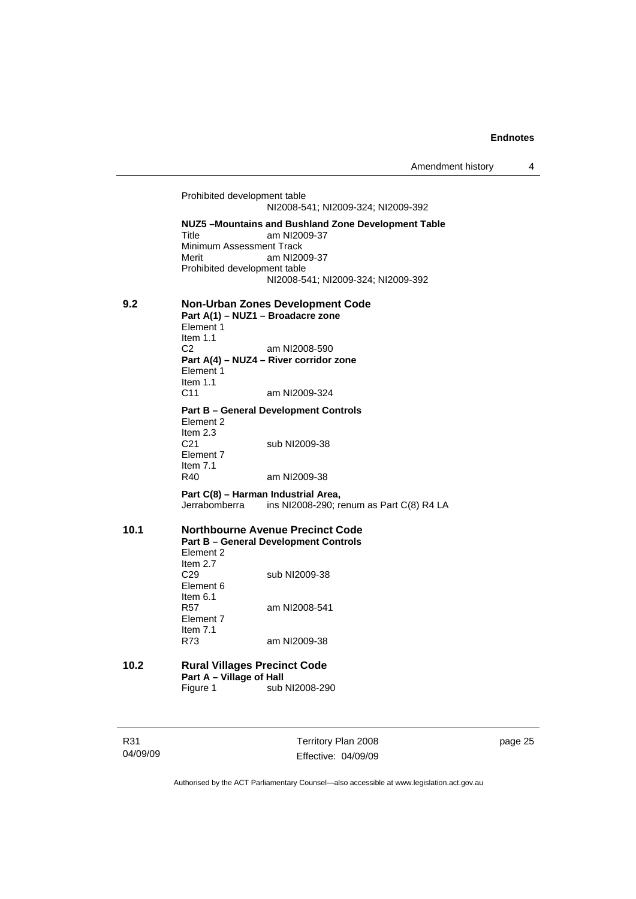Prohibited development table NI2008-541; NI2009-324; NI2009-392 **NUZ5 –Mountains and Bushland Zone Development Table**  am NI2009-37 Minimum Assessment Track Merit am NI2009-37 Prohibited development table NI2008-541; NI2009-324; NI2009-392 **9.2 Non-Urban Zones Development Code Part A(1) – NUZ1 – Broadacre zone**  Element 1 Item 1.1<br>C<sub>2</sub> am NI2008-590 **Part A(4) – NUZ4 – River corridor zone**  Element 1 Item  $1.1$ <br>C<sub>11</sub> am NI2009-324 **Part B – General Development Controls**  Element 2 Item 2.3<br>C21 sub NI2009-38 Element 7 Item  $7.1$ <br>R40 am NI2009-38 **Part C(8) – Harman Industrial Area,**  Jerrabomberra ins NI2008-290; renum as Part C(8) R4 LA **10.1 Northbourne Avenue Precinct Code Part B – General Development Controls**  Element 2 Item 2.7 C29 sub NI2009-38 Element 6 Item 6.1 R57 am NI2008-541 Element 7 Item 7.1 R73 am NI2009-38 **10.2 Rural Villages Precinct Code Part A – Village of Hall**  Figure 1 sub NI2008-290

R31 04/09/09 Territory Plan 2008 Effective: 04/09/09 page 25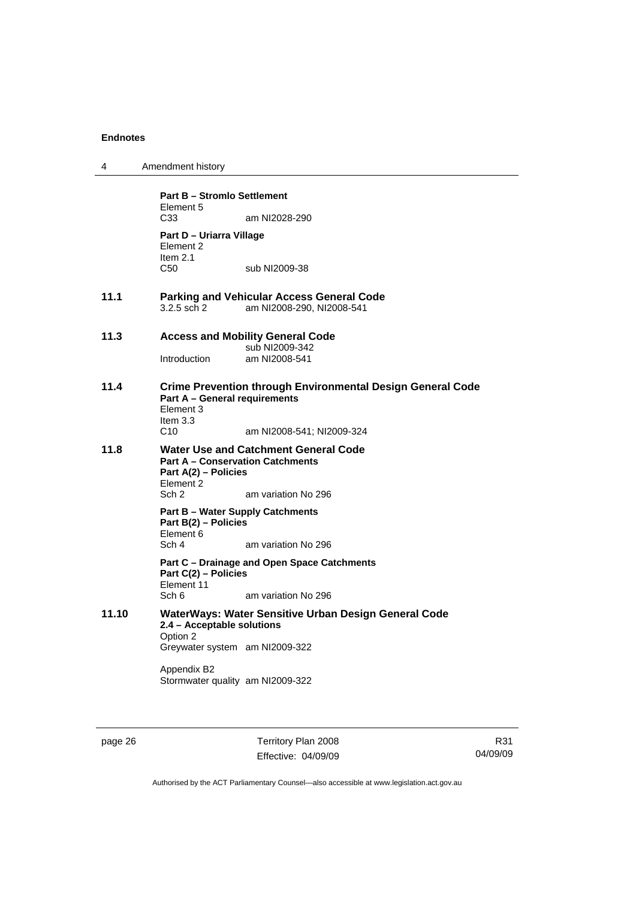| 4     | Amendment history                                                                                                                    |
|-------|--------------------------------------------------------------------------------------------------------------------------------------|
|       | <b>Part B - Stromlo Settlement</b><br>Element 5                                                                                      |
|       | C <sub>33</sub><br>am NI2028-290                                                                                                     |
|       | Part D - Uriarra Village<br>Element 2<br>Item $2.1$                                                                                  |
|       | C50<br>sub NI2009-38                                                                                                                 |
| 11.1  | <b>Parking and Vehicular Access General Code</b><br>3.2.5 sch 2<br>am NI2008-290, NI2008-541                                         |
| 11.3  | <b>Access and Mobility General Code</b><br>sub NI2009-342                                                                            |
|       | Introduction<br>am NI2008-541                                                                                                        |
| 11.4  | <b>Crime Prevention through Environmental Design General Code</b><br><b>Part A - General requirements</b><br>Element 3<br>Item $3.3$ |
|       | C10<br>am NI2008-541; NI2009-324                                                                                                     |
| 11.8  | Water Use and Catchment General Code<br><b>Part A - Conservation Catchments</b><br>Part A(2) – Policies<br>Element 2                 |
|       | Sch <sub>2</sub><br>am variation No 296                                                                                              |
|       | <b>Part B – Water Supply Catchments</b><br>Part B(2) - Policies<br>Element 6                                                         |
|       | Sch 4<br>am variation No 296                                                                                                         |
|       | Part C – Drainage and Open Space Catchments<br>Part C(2) - Policies<br>Element 11                                                    |
|       | Sch 6<br>am variation No 296                                                                                                         |
| 11.10 | WaterWays: Water Sensitive Urban Design General Code<br>2.4 - Acceptable solutions<br>Option 2                                       |
|       | Greywater system am NI2009-322                                                                                                       |
|       | Appendix B2<br>Stormwater quality am NI2009-322                                                                                      |
|       |                                                                                                                                      |

page 26 Territory Plan 2008 Effective: 04/09/09

R31 04/09/09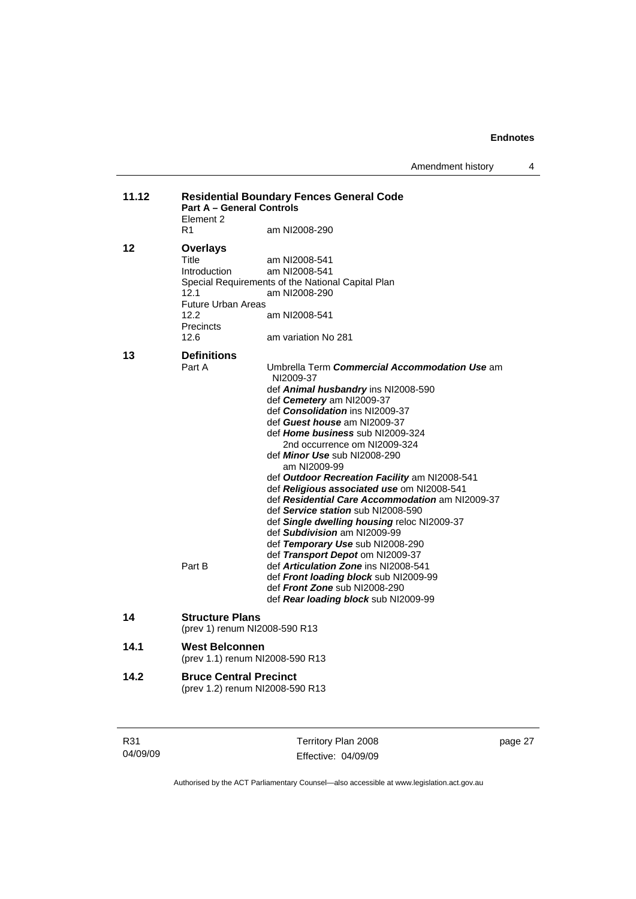Amendment history 4

| 11.12 | <b>Residential Boundary Fences General Code</b><br><b>Part A - General Controls</b><br>Element 2           |                                                                                                                                                                                                                                                                                                                                                                                                                                                                                                                                                                                                                                                                                                                                                                                                                                              |  |
|-------|------------------------------------------------------------------------------------------------------------|----------------------------------------------------------------------------------------------------------------------------------------------------------------------------------------------------------------------------------------------------------------------------------------------------------------------------------------------------------------------------------------------------------------------------------------------------------------------------------------------------------------------------------------------------------------------------------------------------------------------------------------------------------------------------------------------------------------------------------------------------------------------------------------------------------------------------------------------|--|
|       | R1                                                                                                         | am NI2008-290                                                                                                                                                                                                                                                                                                                                                                                                                                                                                                                                                                                                                                                                                                                                                                                                                                |  |
| 12    | <b>Overlays</b><br>Title<br>Introduction<br>12.1<br><b>Future Urban Areas</b><br>12.2<br>Precincts<br>12.6 | am NI2008-541<br>am NI2008-541<br>Special Requirements of the National Capital Plan<br>am NI2008-290<br>am NI2008-541<br>am variation No 281                                                                                                                                                                                                                                                                                                                                                                                                                                                                                                                                                                                                                                                                                                 |  |
| 13    | <b>Definitions</b><br>Part A<br>Part B                                                                     | Umbrella Term Commercial Accommodation Use am<br>NI2009-37<br>def Animal husbandry ins NI2008-590<br>def Cemetery am NI2009-37<br>def Consolidation ins NI2009-37<br>def Guest house am NI2009-37<br>def <i>Home business</i> sub NI2009-324<br>2nd occurrence om NI2009-324<br>def <i>Minor Use</i> sub NI2008-290<br>am NI2009-99<br>def Outdoor Recreation Facility am NI2008-541<br>def Religious associated use om NI2008-541<br>def Residential Care Accommodation am NI2009-37<br>def Service station sub NI2008-590<br>def Single dwelling housing reloc NI2009-37<br>def Subdivision am NI2009-99<br>def Temporary Use sub NI2008-290<br>def Transport Depot om NI2009-37<br>def Articulation Zone ins NI2008-541<br>def Front loading block sub NI2009-99<br>def Front Zone sub NI2008-290<br>def Rear loading block sub NI2009-99 |  |
| 14    | <b>Structure Plans</b><br>(prev 1) renum NI2008-590 R13                                                    |                                                                                                                                                                                                                                                                                                                                                                                                                                                                                                                                                                                                                                                                                                                                                                                                                                              |  |
| 14.1  | <b>West Belconnen</b><br>(prev 1.1) renum NI2008-590 R13                                                   |                                                                                                                                                                                                                                                                                                                                                                                                                                                                                                                                                                                                                                                                                                                                                                                                                                              |  |
| 14.2  | <b>Bruce Central Precinct</b><br>(prev 1.2) renum NI2008-590 R13                                           |                                                                                                                                                                                                                                                                                                                                                                                                                                                                                                                                                                                                                                                                                                                                                                                                                                              |  |

| R31      | Territory Plan 2008 | page 27 |
|----------|---------------------|---------|
| 04/09/09 | Effective: 04/09/09 |         |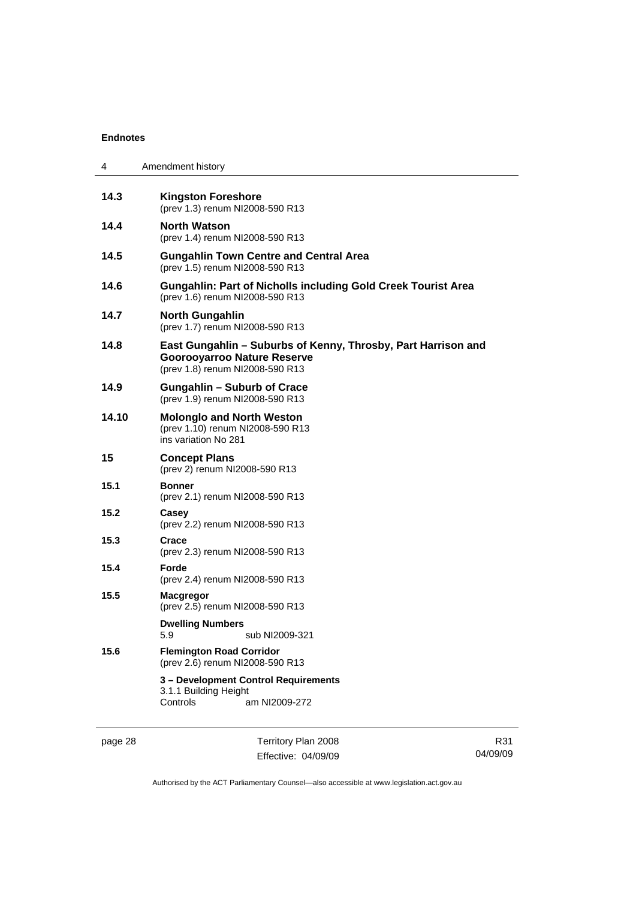| 4     | Amendment history                                                                                                                      |  |  |  |
|-------|----------------------------------------------------------------------------------------------------------------------------------------|--|--|--|
| 14.3  | <b>Kingston Foreshore</b><br>(prev 1.3) renum NI2008-590 R13                                                                           |  |  |  |
| 14.4  | <b>North Watson</b><br>(prev 1.4) renum NI2008-590 R13                                                                                 |  |  |  |
| 14.5  | <b>Gungahlin Town Centre and Central Area</b><br>(prev 1.5) renum NI2008-590 R13                                                       |  |  |  |
| 14.6  | <b>Gungahlin: Part of Nicholls including Gold Creek Tourist Area</b><br>(prev 1.6) renum NI2008-590 R13                                |  |  |  |
| 14.7  | <b>North Gungahlin</b><br>(prev 1.7) renum NI2008-590 R13                                                                              |  |  |  |
| 14.8  | East Gungahlin - Suburbs of Kenny, Throsby, Part Harrison and<br><b>Goorooyarroo Nature Reserve</b><br>(prev 1.8) renum NI2008-590 R13 |  |  |  |
| 14.9  | <b>Gungahlin - Suburb of Crace</b><br>(prev 1.9) renum NI2008-590 R13                                                                  |  |  |  |
| 14.10 | <b>Molonglo and North Weston</b><br>(prev 1.10) renum NI2008-590 R13<br>ins variation No 281                                           |  |  |  |
| 15    | <b>Concept Plans</b><br>(prev 2) renum NI2008-590 R13                                                                                  |  |  |  |
| 15.1  | <b>Bonner</b><br>(prev 2.1) renum NI2008-590 R13                                                                                       |  |  |  |
| 15.2  | Casey<br>(prev 2.2) renum NI2008-590 R13                                                                                               |  |  |  |
| 15.3  | Crace<br>(prev 2.3) renum NI2008-590 R13                                                                                               |  |  |  |
| 15.4  | Forde<br>(prev 2.4) renum NI2008-590 R13                                                                                               |  |  |  |
| 15.5  | <b>Macgregor</b><br>(prev 2.5) renum NI2008-590 R13                                                                                    |  |  |  |
|       | <b>Dwelling Numbers</b><br>sub NI2009-321<br>5.9                                                                                       |  |  |  |
| 15.6  | <b>Flemington Road Corridor</b><br>(prev 2.6) renum NI2008-590 R13                                                                     |  |  |  |
|       | 3 - Development Control Requirements<br>3.1.1 Building Height<br>Controls<br>am NI2009-272                                             |  |  |  |

page 28 Territory Plan 2008 Effective: 04/09/09

R31 04/09/09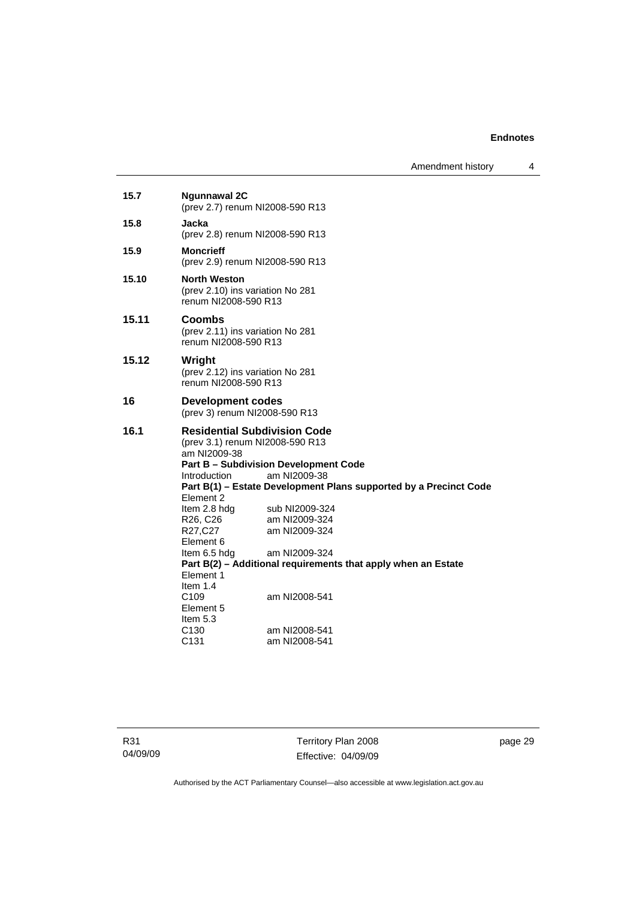Amendment history 4

| 15.7  | <b>Ngunnawal 2C</b><br>(prev 2.7) renum NI2008-590 R13                                                                                                                                                                                                                                                                                                                                                                                                                                                                                                                                             |               |  |  |
|-------|----------------------------------------------------------------------------------------------------------------------------------------------------------------------------------------------------------------------------------------------------------------------------------------------------------------------------------------------------------------------------------------------------------------------------------------------------------------------------------------------------------------------------------------------------------------------------------------------------|---------------|--|--|
| 15.8  | Jacka<br>(prev 2.8) renum NI2008-590 R13                                                                                                                                                                                                                                                                                                                                                                                                                                                                                                                                                           |               |  |  |
| 15.9  | <b>Moncrieff</b><br>(prev 2.9) renum NI2008-590 R13                                                                                                                                                                                                                                                                                                                                                                                                                                                                                                                                                |               |  |  |
| 15.10 | <b>North Weston</b><br>(prev 2.10) ins variation No 281<br>renum NI2008-590 R13                                                                                                                                                                                                                                                                                                                                                                                                                                                                                                                    |               |  |  |
| 15.11 | Coombs<br>(prev 2.11) ins variation No 281<br>renum NI2008-590 R13                                                                                                                                                                                                                                                                                                                                                                                                                                                                                                                                 |               |  |  |
| 15.12 | Wright<br>(prev 2.12) ins variation No 281<br>renum NI2008-590 R13                                                                                                                                                                                                                                                                                                                                                                                                                                                                                                                                 |               |  |  |
| 16    | Development codes<br>(prev 3) renum NI2008-590 R13                                                                                                                                                                                                                                                                                                                                                                                                                                                                                                                                                 |               |  |  |
| 16.1  | <b>Residential Subdivision Code</b><br>(prev 3.1) renum NI2008-590 R13<br>am NI2009-38<br><b>Part B - Subdivision Development Code</b><br>am NI2009-38<br>Introduction<br>Part B(1) – Estate Development Plans supported by a Precinct Code<br>Element 2<br>Item 2.8 hdg<br>sub NI2009-324<br>R26, C26<br>am NI2009-324<br>R27,C27<br>am NI2009-324<br>Element 6<br>am NI2009-324<br>Item 6.5 hdg<br>Part B(2) - Additional requirements that apply when an Estate<br>Element 1<br>Item $1.4$<br>C <sub>109</sub><br>am NI2008-541<br>Element 5<br>Item $5.3$<br>C <sub>130</sub><br>am NI2008-541 |               |  |  |
|       | C <sub>131</sub>                                                                                                                                                                                                                                                                                                                                                                                                                                                                                                                                                                                   | am NI2008-541 |  |  |

R31 04/09/09

Territory Plan 2008 Effective: 04/09/09 page 29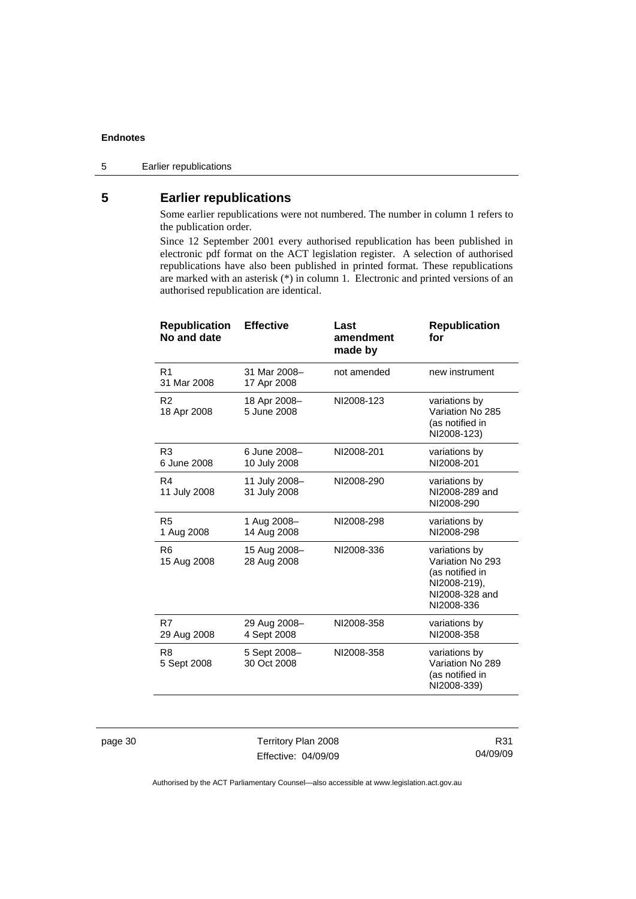#### 5 Earlier republications

# **5 Earlier republications**

Some earlier republications were not numbered. The number in column 1 refers to the publication order.

Since 12 September 2001 every authorised republication has been published in electronic pdf format on the ACT legislation register. A selection of authorised republications have also been published in printed format. These republications are marked with an asterisk (\*) in column 1. Electronic and printed versions of an authorised republication are identical.

| <b>Republication</b><br>No and date | <b>Effective</b>              | Last<br>amendment<br>made by | <b>Republication</b><br>for                                                                          |
|-------------------------------------|-------------------------------|------------------------------|------------------------------------------------------------------------------------------------------|
| R <sub>1</sub><br>31 Mar 2008       | 31 Mar 2008-<br>17 Apr 2008   | not amended                  | new instrument                                                                                       |
| R <sub>2</sub><br>18 Apr 2008       | 18 Apr 2008-<br>5 June 2008   | NI2008-123                   | variations by<br>Variation No 285<br>(as notified in<br>NI2008-123)                                  |
| R <sub>3</sub><br>6 June 2008       | 6 June 2008-<br>10 July 2008  | NI2008-201                   | variations by<br>NI2008-201                                                                          |
| R4<br>11 July 2008                  | 11 July 2008-<br>31 July 2008 | NI2008-290                   | variations by<br>NI2008-289 and<br>NI2008-290                                                        |
| R <sub>5</sub><br>1 Aug 2008        | 1 Aug 2008-<br>14 Aug 2008    | NI2008-298                   | variations by<br>NI2008-298                                                                          |
| R <sub>6</sub><br>15 Aug 2008       | 15 Aug 2008-<br>28 Aug 2008   | NI2008-336                   | variations by<br>Variation No 293<br>(as notified in<br>NI2008-219),<br>NI2008-328 and<br>NI2008-336 |
| R7<br>29 Aug 2008                   | 29 Aug 2008-<br>4 Sept 2008   | NI2008-358                   | variations by<br>NI2008-358                                                                          |
| R <sub>8</sub><br>5 Sept 2008       | 5 Sept 2008-<br>30 Oct 2008   | NI2008-358                   | variations by<br>Variation No 289<br>(as notified in<br>NI2008-339)                                  |

page 30 Territory Plan 2008 Effective: 04/09/09

R31 04/09/09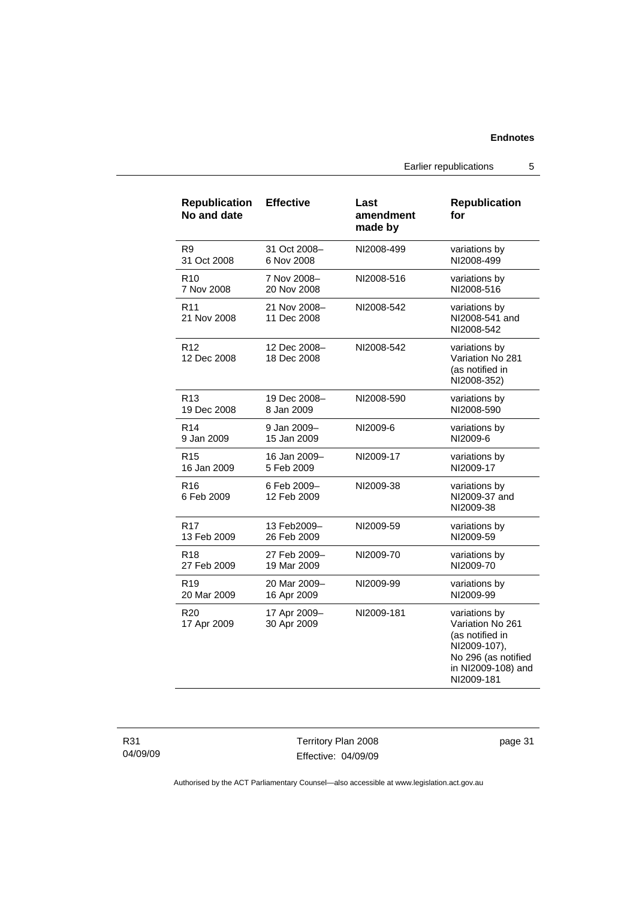Earlier republications 5

| <b>Republication</b><br>No and date | <b>Effective</b>            | Last<br>amendment<br>made by | <b>Republication</b><br>for                                                                                                     |
|-------------------------------------|-----------------------------|------------------------------|---------------------------------------------------------------------------------------------------------------------------------|
| R9                                  | 31 Oct 2008-                | NI2008-499                   | variations by                                                                                                                   |
| 31 Oct 2008                         | 6 Nov 2008                  |                              | NI2008-499                                                                                                                      |
| R <sub>10</sub>                     | 7 Nov 2008-                 | NI2008-516                   | variations by                                                                                                                   |
| 7 Nov 2008                          | 20 Nov 2008                 |                              | NI2008-516                                                                                                                      |
| R <sub>11</sub><br>21 Nov 2008      | 21 Nov 2008-<br>11 Dec 2008 | NI2008-542                   | variations by<br>NI2008-541 and<br>NI2008-542                                                                                   |
| R12<br>12 Dec 2008                  | 12 Dec 2008-<br>18 Dec 2008 | NI2008-542                   | variations by<br>Variation No 281<br>(as notified in<br>NI2008-352)                                                             |
| R <sub>13</sub>                     | 19 Dec 2008–                | NI2008-590                   | variations by                                                                                                                   |
| 19 Dec 2008                         | 8 Jan 2009                  |                              | NI2008-590                                                                                                                      |
| R <sub>14</sub>                     | 9 Jan 2009-                 | NI2009-6                     | variations by                                                                                                                   |
| 9 Jan 2009                          | 15 Jan 2009                 |                              | NI2009-6                                                                                                                        |
| R <sub>15</sub>                     | 16 Jan 2009-                | NI2009-17                    | variations by                                                                                                                   |
| 16 Jan 2009                         | 5 Feb 2009                  |                              | NI2009-17                                                                                                                       |
| R <sub>16</sub><br>6 Feb 2009       | 6 Feb 2009-<br>12 Feb 2009  | NI2009-38                    | variations by<br>NI2009-37 and<br>NI2009-38                                                                                     |
| R <sub>17</sub>                     | 13 Feb2009-                 | NI2009-59                    | variations by                                                                                                                   |
| 13 Feb 2009                         | 26 Feb 2009                 |                              | NI2009-59                                                                                                                       |
| R <sub>18</sub>                     | 27 Feb 2009-                | NI2009-70                    | variations by                                                                                                                   |
| 27 Feb 2009                         | 19 Mar 2009                 |                              | NI2009-70                                                                                                                       |
| R <sub>19</sub>                     | 20 Mar 2009-                | NI2009-99                    | variations by                                                                                                                   |
| 20 Mar 2009                         | 16 Apr 2009                 |                              | NI2009-99                                                                                                                       |
| R <sub>20</sub><br>17 Apr 2009      | 17 Apr 2009-<br>30 Apr 2009 | NI2009-181                   | variations by<br>Variation No 261<br>(as notified in<br>NI2009-107),<br>No 296 (as notified<br>in NI2009-108) and<br>NI2009-181 |

Territory Plan 2008 Effective: 04/09/09 page 31